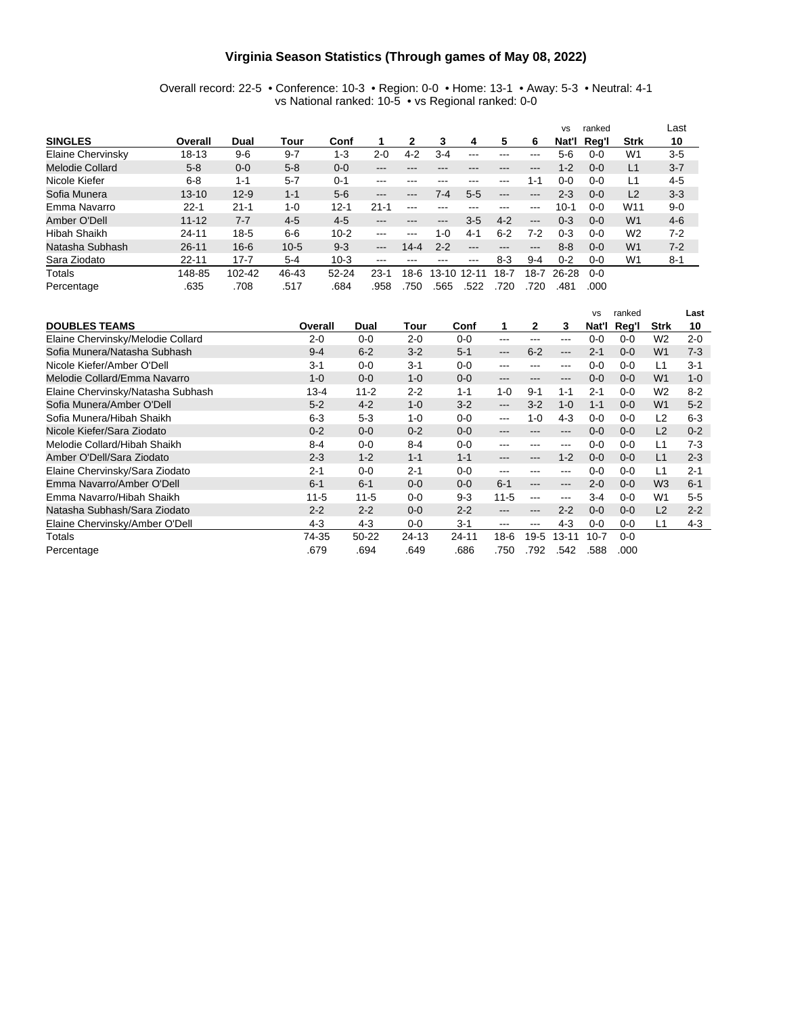#### **Virginia Season Statistics (Through games of May 08, 2022)**

#### Overall record: 22-5 • Conference: 10-3 • Region: 0-0 • Home: 13-1 • Away: 5-3 • Neutral: 4-1 vs National ranked: 10-5 • vs Regional ranked: 0-0

|                   |           |          |          |           |                            |                        |           |                        |                            |                            | <b>VS</b> | ranked  |                 | Last    |
|-------------------|-----------|----------|----------|-----------|----------------------------|------------------------|-----------|------------------------|----------------------------|----------------------------|-----------|---------|-----------------|---------|
| <b>SINGLES</b>    | Overall   | Dual     | Tour     | Conf      |                            |                        | 3         | 4                      | 5                          | 6                          | Nat'l     | Reg'l   | <b>Strk</b>     | 10      |
| Elaine Chervinsky | 18-13     | $9 - 6$  | $9 - 7$  | $1 - 3$   | $2 - 0$                    | $4 - 2$                | 3-4       |                        | ---                        |                            | 5-6       | 0-0     | W1              | $3 - 5$ |
| Melodie Collard   | $5 - 8$   | $0 - 0$  | $5 - 8$  | $0 - 0$   | $-- -$                     |                        |           |                        | ---                        | $\qquad \qquad - \qquad -$ | $1 - 2$   | $0 - 0$ | L1              | $3 - 7$ |
| Nicole Kiefer     | $6 - 8$   | $1 - 1$  | $5 - 7$  | $0 - 1$   | $- - -$                    | $- - -$                | ---       |                        | $-- -$                     | 1-1                        | 0-0       | $0 - 0$ | L1              | $4 - 5$ |
| Sofia Munera      | $13 - 10$ | $12 - 9$ | $1 - 1$  | $5-6$     | $\qquad \qquad - \qquad -$ | $\qquad \qquad \cdots$ | 7-4       | $5 - 5$                | $\qquad \qquad -$          | $\qquad \qquad -$          | $2 - 3$   | $0 - 0$ | L2              | $3 - 3$ |
| Emma Navarro      | $22 - 1$  | $21 - 1$ | $1 - 0$  | $12 - 1$  | $21 - 1$                   | $-- -$                 |           |                        | ---                        | $- - -$                    | $10 - 1$  | 0-0     | W <sub>11</sub> | $9 - 0$ |
| Amber O'Dell      | $11 - 12$ | $7 - 7$  | $4 - 5$  | $4-5$     | $\qquad \qquad \cdots$     |                        | ---       | $3-5$                  | $4 - 2$                    | $---$                      | $0 - 3$   | $0 - 0$ | W <sub>1</sub>  | $4-6$   |
| Hibah Shaikh      | $24 - 11$ | $18 - 5$ | $6-6$    | $10 - 2$  | $-- -$                     | $- - -$                | 1-0       | $4 - 1$                | $6 - 2$                    | $7-2$                      | $0 - 3$   | $0 - 0$ | W <sub>2</sub>  | $7-2$   |
| Natasha Subhash   | $26 - 11$ | $16 - 6$ | $10 - 5$ | $9 - 3$   | $\qquad \qquad -$          | $14 - 4$               | $2 - 2$   | $\qquad \qquad \cdots$ | $\qquad \qquad - \qquad -$ | $\qquad \qquad - \qquad -$ | $8 - 8$   | $0 - 0$ | W <sub>1</sub>  | $7 - 2$ |
| Sara Ziodato      | $22 - 11$ | $17 - 7$ | $5 - 4$  | $10-3$    | $\frac{1}{2}$              |                        |           | $- - -$                | $8-3$                      | $9 - 4$                    | $0 - 2$   | 0-0     | W <sub>1</sub>  | $8 - 1$ |
| Totals            | 148-85    | 102-42   | 46-43    | $52 - 24$ | 23-1                       | 18-6                   | $13 - 10$ | 12-11                  | 18-7                       | $18 - 7$                   | 26-28     | $0 - 0$ |                 |         |
| Percentage        | .635      | .708     | .517     | .684      | .958                       | .750                   | .565      | .522                   | 720                        | .720                       | .481      | .000    |                 |         |

|                                   |          |           |         |         |                   |         |         | <b>VS</b> | ranked  |                | Last    |
|-----------------------------------|----------|-----------|---------|---------|-------------------|---------|---------|-----------|---------|----------------|---------|
| <b>DOUBLES TEAMS</b>              | Overall  | Dual      | Tour    | Conf    | 1                 | 2       | 3       | Nat'l     | Reg'l   | <b>Strk</b>    | 10      |
| Elaine Chervinsky/Melodie Collard | $2 - 0$  | $0 - 0$   | $2 - 0$ | $0 - 0$ | $--$              | ---     | ---     | $0 - 0$   | $0 - 0$ | W <sub>2</sub> | $2 - 0$ |
| Sofia Munera/Natasha Subhash      | $9 - 4$  | $6 - 2$   | $3 - 2$ | $5 - 1$ | $---$             | $6 - 2$ | ---     | $2 - 1$   | $0 - 0$ | W <sub>1</sub> | $7-3$   |
| Nicole Kiefer/Amber O'Dell        | $3 - 1$  | $0 - 0$   | $3 - 1$ | $0 - 0$ | ---               |         | ---     | $0 - 0$   | $0 - 0$ | L1             | $3 - 1$ |
| Melodie Collard/Emma Navarro      | $1 - 0$  | $0 - 0$   | $1 - 0$ | $0 - 0$ | $\qquad \qquad -$ | ---     | ---     | $0 - 0$   | $0 - 0$ | W <sub>1</sub> | $1 - 0$ |
| Elaine Chervinsky/Natasha Subhash | $13 - 4$ | $11 - 2$  | $2 - 2$ | $1 - 1$ | $1 - 0$           | $9 - 1$ | $1 - 1$ | $2 - 1$   | $0 - 0$ | W <sub>2</sub> | $8 - 2$ |
| Sofia Munera/Amber O'Dell         | $5 - 2$  | $4 - 2$   | $1 - 0$ | $3-2$   | $\qquad \qquad -$ | $3-2$   | $1 - 0$ | $1 - 1$   | $0 - 0$ | W <sub>1</sub> | $5 - 2$ |
| Sofia Munera/Hibah Shaikh         | $6 - 3$  | $5 - 3$   | $1 - 0$ | $0 - 0$ | $\qquad \qquad -$ | $1 - 0$ | $4-3$   | $0 - 0$   | $0 - 0$ | L2             | $6 - 3$ |
| Nicole Kiefer/Sara Ziodato        | $0 - 2$  | $0 - 0$   | $0 - 2$ | $0 - 0$ | $-- -$            | ---     | ---     | $0 - 0$   | $0 - 0$ | L2             | $0 - 2$ |
| Melodie Collard/Hibah Shaikh      | $8 - 4$  | $0 - 0$   | $8 - 4$ | $0 - 0$ | ---               |         | ---     | $0 - 0$   | $0 - 0$ | L1             | $7-3$   |
| Amber O'Dell/Sara Ziodato         | $2 - 3$  | $1 - 2$   | $1 - 1$ | $1 - 1$ | $\qquad \qquad -$ | ---     | $1 - 2$ | $0 - 0$   | $0 - 0$ | L1             | $2 - 3$ |
| Elaine Chervinsky/Sara Ziodato    | $2 - 1$  | $0 - 0$   | 2-1     | $0 - 0$ | $--$              | ---     | ---     | $0 - 0$   | $0 - 0$ | L1             | $2 - 1$ |
| Emma Navarro/Amber O'Dell         | $6 - 1$  | $6 - 1$   | $0 - 0$ | $0 - 0$ | $6 - 1$           | ---     | ---     | $2 - 0$   | $0 - 0$ | W <sub>3</sub> | $6 - 1$ |
| Emma Navarro/Hibah Shaikh         | $11 - 5$ | $11 - 5$  | $0 - 0$ | $9 - 3$ | $11 - 5$          | ---     | ---     | $3-4$     | 0-0     | W1             | $5-5$   |
| Natasha Subhash/Sara Ziodato      | $2 - 2$  | $2 - 2$   | $0 - 0$ | $2 - 2$ | $\qquad \qquad -$ | ---     | $2 - 2$ | $0 - 0$   | $0 - 0$ | L2             | $2 - 2$ |
| Elaine Chervinsky/Amber O'Dell    | $4 - 3$  | $4 - 3$   | $0 - 0$ | $3 - 1$ | $-- -$            | ---     | $4-3$   | $0 - 0$   | 0-0     | l 1            | $4 - 3$ |
| Totals                            | 74-35    | $50 - 22$ | 24-13   | 24-11   | $18-6$            | $19-5$  | 13-11   | $10 - 7$  | $0 - 0$ |                |         |
| Percentage                        | .679     | .694      | .649    | .686    | .750              | .792    | 542.    | .588      | .000    |                |         |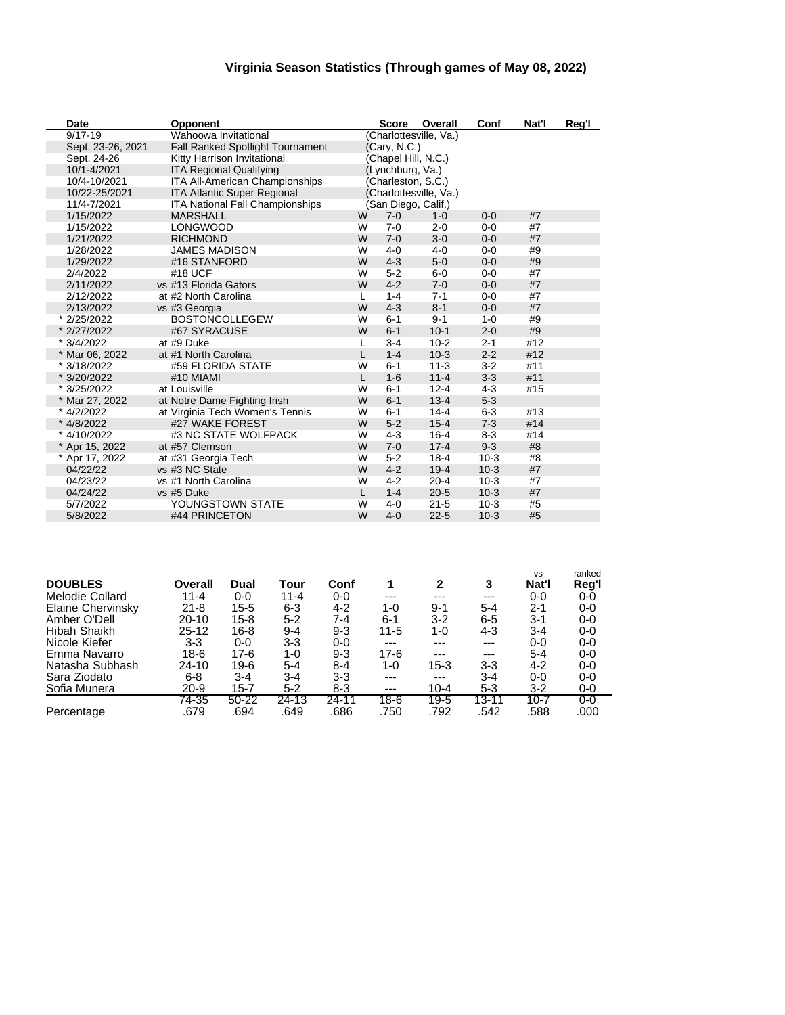### **Virginia Season Statistics (Through games of May 08, 2022)**

| Date              | <b>Opponent</b>                        |              | <b>Score</b>        | Overall                | Conf    | Nat'l | Reg'l |
|-------------------|----------------------------------------|--------------|---------------------|------------------------|---------|-------|-------|
| $9/17 - 19$       | Wahoowa Invitational                   |              |                     | (Charlottesville, Va.) |         |       |       |
| Sept. 23-26, 2021 | Fall Ranked Spotlight Tournament       |              | (Cary, N.C.)        |                        |         |       |       |
| Sept. 24-26       | Kitty Harrison Invitational            |              | (Chapel Hill, N.C.) |                        |         |       |       |
| 10/1-4/2021       | <b>ITA Regional Qualifying</b>         |              | (Lynchburg, Va.)    |                        |         |       |       |
| 10/4-10/2021      | <b>ITA All-American Championships</b>  |              | (Charleston, S.C.)  |                        |         |       |       |
| 10/22-25/2021     | <b>ITA Atlantic Super Regional</b>     |              |                     | (Charlottesville, Va.) |         |       |       |
| 11/4-7/2021       | <b>ITA National Fall Championships</b> |              |                     | (San Diego, Calif.)    |         |       |       |
| 1/15/2022         | <b>MARSHALL</b>                        | W            | $7 - 0$             | $1 - 0$                | $0 - 0$ | #7    |       |
| 1/15/2022         | <b>LONGWOOD</b>                        | W            | $7 - 0$             | $2 - 0$                | $0 - 0$ | #7    |       |
| 1/21/2022         | <b>RICHMOND</b>                        | W            | $7 - 0$             | $3-0$                  | $0 - 0$ | #7    |       |
| 1/28/2022         | <b>JAMES MADISON</b>                   | W            | $4 - 0$             | $4 - 0$                | $0-0$   | #9    |       |
| 1/29/2022         | #16 STANFORD                           | W            | $4 - 3$             | $5-0$                  | $0 - 0$ | #9    |       |
| 2/4/2022          | #18 UCF                                | W            | $5 - 2$             | $6-0$                  | $0-0$   | #7    |       |
| 2/11/2022         | vs #13 Florida Gators                  | W            | $4 - 2$             | $7 - 0$                | $0 - 0$ | #7    |       |
| 2/12/2022         | at #2 North Carolina                   | $\mathbf{L}$ | $1 - 4$             | $7 - 1$                | $0-0$   | #7    |       |
| 2/13/2022         | vs #3 Georgia                          | W            | $4 - 3$             | $8 - 1$                | $0 - 0$ | #7    |       |
| * 2/25/2022       | <b>BOSTONCOLLEGEW</b>                  | W            | $6 - 1$             | $9 - 1$                | $1 - 0$ | #9    |       |
| * 2/27/2022       | #67 SYRACUSE                           | W            | $6 - 1$             | $10-1$                 | $2 - 0$ | #9    |       |
| * 3/4/2022        | at #9 Duke                             | L            | $3 - 4$             | $10 - 2$               | $2 - 1$ | #12   |       |
| * Mar 06, 2022    | at #1 North Carolina                   | L            | $1 - 4$             | $10-3$                 | $2 - 2$ | #12   |       |
| * 3/18/2022       | #59 FLORIDA STATE                      | W            | $6 - 1$             | $11 - 3$               | $3-2$   | #11   |       |
| * 3/20/2022       | #10 MIAMI                              | L            | $1 - 6$             | $11 - 4$               | $3 - 3$ | #11   |       |
| * 3/25/2022       | at Louisville                          | W            | $6 - 1$             | $12 - 4$               | $4 - 3$ | #15   |       |
| * Mar 27, 2022    | at Notre Dame Fighting Irish           | W            | $6 - 1$             | $13 - 4$               | $5-3$   |       |       |
| * 4/2/2022        | at Virginia Tech Women's Tennis        | W            | $6 - 1$             | $14 - 4$               | $6-3$   | #13   |       |
| * 4/8/2022        | #27 WAKE FOREST                        | W            | $5 - 2$             | $15 - 4$               | $7 - 3$ | #14   |       |
| * 4/10/2022       | #3 NC STATE WOLFPACK                   | W            | $4 - 3$             | $16 - 4$               | $8 - 3$ | #14   |       |
| * Apr 15, 2022    | at #57 Clemson                         | W            | $7 - 0$             | $17 - 4$               | $9 - 3$ | #8    |       |
| * Apr 17, 2022    | at #31 Georgia Tech                    | W            | $5-2$               | $18 - 4$               | $10-3$  | #8    |       |
| 04/22/22          | vs #3 NC State                         | W            | $4 - 2$             | $19 - 4$               | $10-3$  | #7    |       |
| 04/23/22          | vs #1 North Carolina                   | W            | $4-2$               | $20 - 4$               | $10-3$  | #7    |       |
| 04/24/22          | vs #5 Duke                             | L            | $1 - 4$             | $20 - 5$               | $10-3$  | #7    |       |
| 5/7/2022          | YOUNGSTOWN STATE                       | W            | $4 - 0$             | $21 - 5$               | $10-3$  | #5    |       |
| 5/8/2022          | #44 PRINCETON                          | W            | $4 - 0$             | $22 - 5$               | $10-3$  | #5    |       |

|                          |           |          |          |         |          |          |         | <b>VS</b> | ranked  |
|--------------------------|-----------|----------|----------|---------|----------|----------|---------|-----------|---------|
| <b>DOUBLES</b>           | Overall   | Dual     | Tour     | Conf    |          | 2        | 3       | Nat'l     | Reg'l   |
| <b>Melodie Collard</b>   | $11 - 4$  | 0-0      | $11 - 4$ | 0-0     | ---      | ---      | ---     | 0-0       | 0-0     |
| <b>Elaine Chervinsky</b> | $21 - 8$  | $15 - 5$ | 6-3      | 4-2     | 1-0      | $9 - 1$  | $5 - 4$ | $2 - 1$   | $0-0$   |
| Amber O'Dell             | $20 - 10$ | $15 - 8$ | $5 - 2$  | 7-4     | $6 - 1$  | $3-2$    | $6 - 5$ | 3-1       | $0 - 0$ |
| Hibah Shaikh             | 25-12     | $16 - 8$ | $9 - 4$  | $9 - 3$ | $11 - 5$ | 1-0      | 4-3     | $3 - 4$   | $0-0$   |
| Nicole Kiefer            | $3-3$     | 0-0      | 3-3      | 0-0     | ---      | ---      | ---     | 0-0       | $0-0$   |
| Emma Navarro             | 18-6      | 17-6     | 1-0      | $9 - 3$ | $17-6$   | ---      | $---$   | $5 - 4$   | $0-0$   |
| Natasha Subhash          | 24-10     | 19-6     | $5 - 4$  | $8 - 4$ | 1-0      | $15 - 3$ | $3-3$   | 4-2       | $0-0$   |
| Sara Ziodato             | $6 - 8$   | 3-4      | $3 - 4$  | 3-3     | $---$    | $---$    | $3 - 4$ | 0-0       | $0-0$   |
| Sofia Munera             | $20 - 9$  | $15 - 7$ | $5 - 2$  | 8-3     | $---$    | $10 - 4$ | $5 - 3$ | 3-2       | 0-0     |
|                          | 74-35     | $50-22$  | 24-13    | 24-11   | $18-6$   | $19 - 5$ | 13-11   | $10-7$    | $0 - 0$ |
| Percentage               | .679      | .694     | .649     | .686    | .750     | .792     | .542    | .588      | .000    |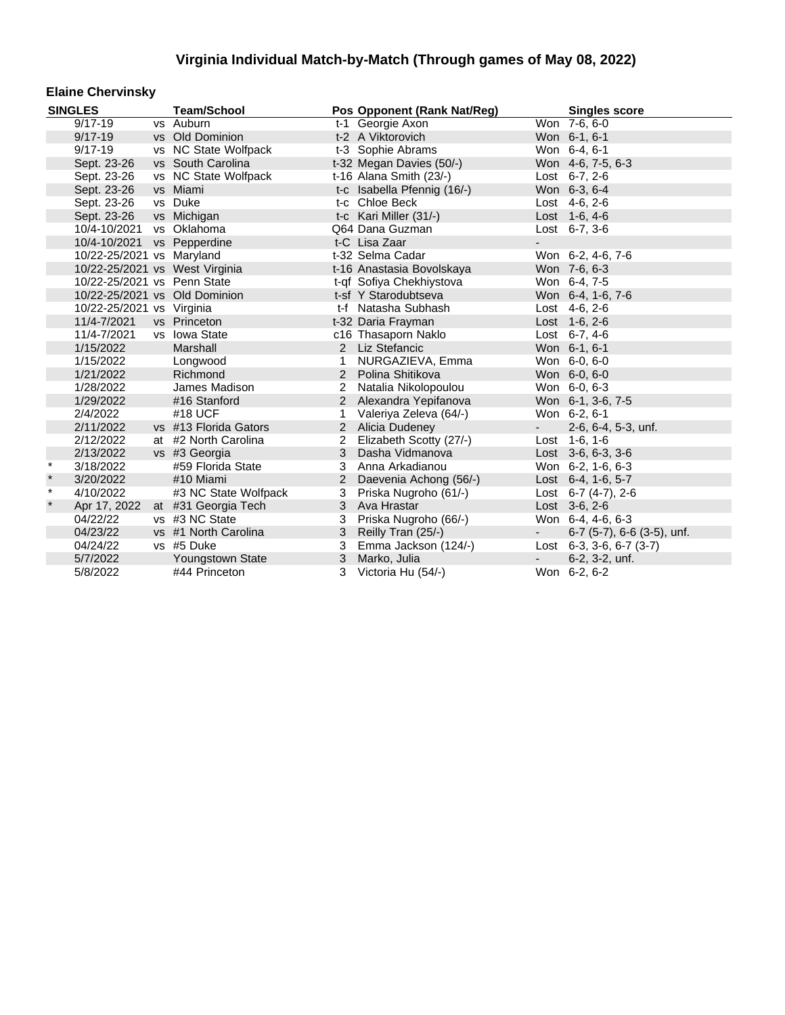#### **Elaine Chervinsky**

| <b>SINGLES</b> |                             | <b>Team/School</b>             |                | Pos Opponent (Rank Nat/Reg) |            | <b>Singles score</b>               |
|----------------|-----------------------------|--------------------------------|----------------|-----------------------------|------------|------------------------------------|
|                | $9/17 - 19$                 | vs Auburn                      |                | t-1 Georgie Axon            |            | Won 7-6, 6-0                       |
|                | $9/17 - 19$                 | vs Old Dominion                |                | t-2 A Viktorovich           |            | Won 6-1, 6-1                       |
|                | $9/17 - 19$                 | vs NC State Wolfpack           |                | t-3 Sophie Abrams           |            | Won 6-4, 6-1                       |
|                | Sept. 23-26                 | vs South Carolina              |                | t-32 Megan Davies (50/-)    |            | Won 4-6, 7-5, 6-3                  |
|                | Sept. 23-26                 | vs NC State Wolfpack           |                | t-16 Alana Smith (23/-)     |            | Lost 6-7, 2-6                      |
|                | Sept. 23-26                 | vs Miami                       |                | t-c Isabella Pfennig (16/-) |            | Won 6-3, 6-4                       |
|                | Sept. 23-26                 | vs Duke                        |                | t-c Chloe Beck              |            | Lost 4-6, 2-6                      |
|                | Sept. 23-26                 | vs Michigan                    |                | t-c Kari Miller (31/-)      |            | Lost 1-6, 4-6                      |
|                | 10/4-10/2021 vs Oklahoma    |                                |                | Q64 Dana Guzman             |            | Lost 6-7, 3-6                      |
|                | 10/4-10/2021 vs Pepperdine  |                                |                | t-C Lisa Zaar               |            |                                    |
|                | 10/22-25/2021 vs Maryland   |                                |                | t-32 Selma Cadar            |            | Won 6-2, 4-6, 7-6                  |
|                |                             | 10/22-25/2021 vs West Virginia |                | t-16 Anastasia Bovolskaya   |            | Won 7-6, 6-3                       |
|                | 10/22-25/2021 vs Penn State |                                |                | t-qf Sofiya Chekhiystova    |            | Won 6-4, 7-5                       |
|                |                             | 10/22-25/2021 vs Old Dominion  |                | t-sf Y Starodubtseva        |            | Won 6-4, 1-6, 7-6                  |
|                | 10/22-25/2021 vs Virginia   |                                |                | t-f Natasha Subhash         |            | Lost 4-6, 2-6                      |
|                | 11/4-7/2021                 | vs Princeton                   |                | t-32 Daria Frayman          |            | Lost $1-6, 2-6$                    |
|                | 11/4-7/2021                 | vs Iowa State                  |                | c16 Thasaporn Naklo         |            | Lost 6-7, 4-6                      |
|                | 1/15/2022                   | Marshall                       |                | 2 Liz Stefancic             |            | Won 6-1, 6-1                       |
|                | 1/15/2022                   | Longwood                       |                | NURGAZIEVA, Emma            |            | Won 6-0, 6-0                       |
|                | 1/21/2022                   | Richmond                       | $2^{\circ}$    | Polina Shitikova            |            | Won 6-0, 6-0                       |
|                | 1/28/2022                   | James Madison                  | $\overline{2}$ | Natalia Nikolopoulou        |            | Won 6-0, 6-3                       |
|                | 1/29/2022                   | #16 Stanford                   |                | 2 Alexandra Yepifanova      |            | Won 6-1, 3-6, 7-5                  |
|                | 2/4/2022                    | #18 UCF                        | 1              | Valeriya Zeleva (64/-)      |            | Won 6-2, 6-1                       |
|                | 2/11/2022                   | vs #13 Florida Gators          |                | 2 Alicia Dudeney            | $\sim 100$ | 2-6, 6-4, 5-3, unf.                |
|                | 2/12/2022                   | at #2 North Carolina           | $\overline{2}$ | Elizabeth Scotty (27/-)     |            | Lost 1-6, 1-6                      |
|                | 2/13/2022                   | vs #3 Georgia                  | 3              | Dasha Vidmanova             |            | Lost 3-6, 6-3, 3-6                 |
| $\star$        | 3/18/2022                   | #59 Florida State              | 3              | Anna Arkadianou             |            | Won 6-2, 1-6, 6-3                  |
| $\star$        | 3/20/2022                   | #10 Miami                      | 2              | Daevenia Achong (56/-)      |            | Lost 6-4, 1-6, 5-7                 |
| $\star$        | 4/10/2022                   | #3 NC State Wolfpack           | 3              | Priska Nugroho (61/-)       |            | Lost $6-7$ (4-7), 2-6              |
| $\star$        | Apr 17, 2022                | at #31 Georgia Tech            | 3              | Ava Hrastar                 |            | Lost 3-6, 2-6                      |
|                | 04/22/22                    | vs #3 NC State                 | 3              | Priska Nugroho (66/-)       |            | Won 6-4, 4-6, 6-3                  |
|                | 04/23/22                    | vs #1 North Carolina           | 3              | Reilly Tran (25/-)          | $\sim 100$ | $6-7$ (5-7), $6-6$ (3-5), unf.     |
|                | 04/24/22                    | vs #5 Duke                     | 3              | Emma Jackson (124/-)        |            | Lost $6-3$ , $3-6$ , $6-7$ $(3-7)$ |
|                | 5/7/2022                    | Youngstown State               | 3              | Marko, Julia                |            | 6-2, 3-2, unf.                     |
|                | 5/8/2022                    | #44 Princeton                  | 3              | Victoria Hu (54/-)          |            | Won 6-2, 6-2                       |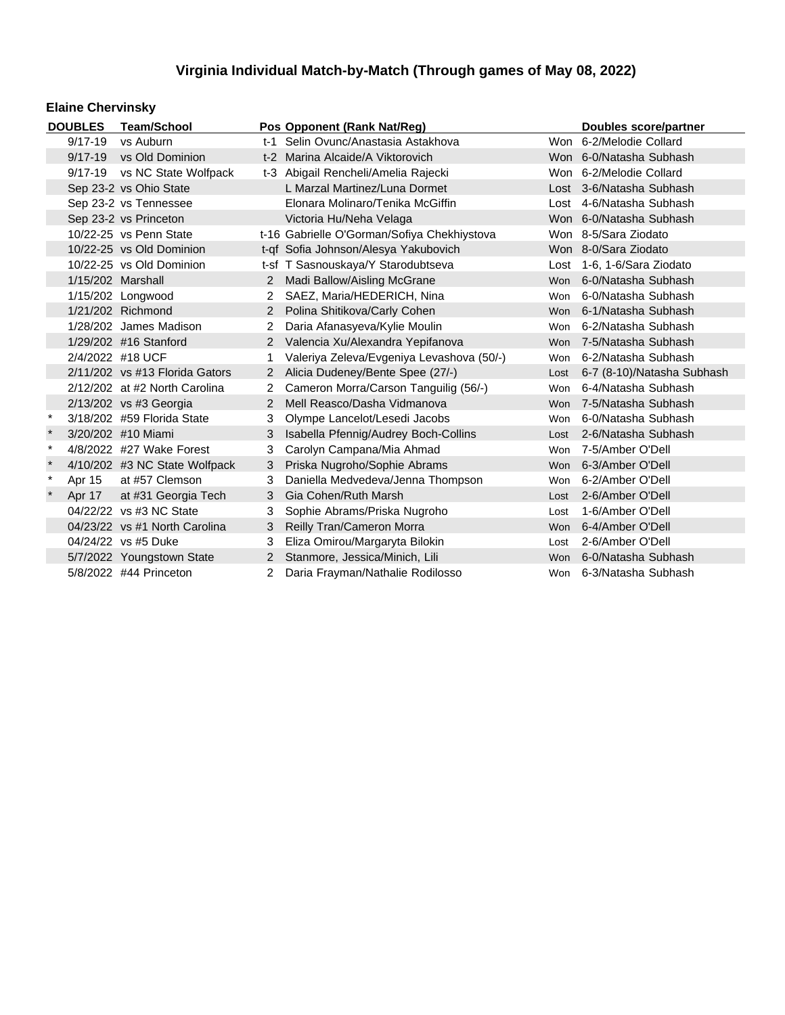### **Elaine Chervinsky**

| <b>DOUBLES</b><br><b>Team/School</b> |                           |                                  |                | Pos Opponent (Rank Nat/Reg)                 |            | Doubles score/partner      |
|--------------------------------------|---------------------------|----------------------------------|----------------|---------------------------------------------|------------|----------------------------|
|                                      | $9/17 - 19$               | vs Auburn                        |                | t-1 Selin Ovunc/Anastasia Astakhova         |            | Won 6-2/Melodie Collard    |
|                                      | $9/17 - 19$               | vs Old Dominion                  |                | t-2 Marina Alcaide/A Viktorovich            |            | Won 6-0/Natasha Subhash    |
|                                      | $9/17 - 19$               | vs NC State Wolfpack             |                | t-3 Abigail Rencheli/Amelia Rajecki         |            | Won 6-2/Melodie Collard    |
|                                      |                           | Sep 23-2 vs Ohio State           |                | L Marzal Martinez/Luna Dormet               |            | Lost 3-6/Natasha Subhash   |
|                                      |                           | Sep 23-2 vs Tennessee            |                | Elonara Molinaro/Tenika McGiffin            |            | Lost 4-6/Natasha Subhash   |
|                                      |                           | Sep 23-2 vs Princeton            |                | Victoria Hu/Neha Velaga                     |            | Won 6-0/Natasha Subhash    |
|                                      |                           | 10/22-25 vs Penn State           |                | t-16 Gabrielle O'Gorman/Sofiya Chekhiystova |            | Won 8-5/Sara Ziodato       |
|                                      |                           | 10/22-25 vs Old Dominion         |                | t-qf Sofia Johnson/Alesya Yakubovich        |            | Won 8-0/Sara Ziodato       |
|                                      |                           | 10/22-25 vs Old Dominion         |                | t-sf T Sasnouskaya/Y Starodubtseva          |            | Lost 1-6, 1-6/Sara Ziodato |
|                                      | 1/15/202 Marshall         |                                  |                | 2 Madi Ballow/Aisling McGrane               |            | Won 6-0/Natasha Subhash    |
|                                      |                           | 1/15/202 Longwood                |                | SAEZ, Maria/HEDERICH, Nina                  | Won        | 6-0/Natasha Subhash        |
|                                      |                           | 1/21/202 Richmond                |                | 2 Polina Shitikova/Carly Cohen              |            | Won 6-1/Natasha Subhash    |
|                                      |                           | 1/28/202 James Madison           |                | Daria Afanasyeva/Kylie Moulin               | Won        | 6-2/Natasha Subhash        |
|                                      |                           | 1/29/202 #16 Stanford            |                | 2 Valencia Xu/Alexandra Yepifanova          |            | Won 7-5/Natasha Subhash    |
|                                      | 2/4/2022 #18 UCF          |                                  |                | Valeriya Zeleva/Evgeniya Levashova (50/-)   | Won        | 6-2/Natasha Subhash        |
|                                      |                           | $2/11/202$ vs #13 Florida Gators | $2^{\circ}$    | Alicia Dudeney/Bente Spee (27/-)            | Lost       | 6-7 (8-10)/Natasha Subhash |
|                                      |                           | 2/12/202 at #2 North Carolina    |                | Cameron Morra/Carson Tanguilig (56/-)       | Won        | 6-4/Natasha Subhash        |
|                                      |                           | 2/13/202 vs #3 Georgia           | $\overline{2}$ | Mell Reasco/Dasha Vidmanova                 | <b>Won</b> | 7-5/Natasha Subhash        |
| $\ast$                               |                           | 3/18/202 #59 Florida State       | 3              | Olympe Lancelot/Lesedi Jacobs               | <b>Won</b> | 6-0/Natasha Subhash        |
| $\star$                              |                           | 3/20/202 #10 Miami               | 3              | Isabella Pfennig/Audrey Boch-Collins        | Lost       | 2-6/Natasha Subhash        |
| $\ast$                               |                           | 4/8/2022 #27 Wake Forest         | 3              | Carolyn Campana/Mia Ahmad                   | <b>Won</b> | 7-5/Amber O'Dell           |
| $\star$                              |                           | 4/10/202 #3 NC State Wolfpack    | 3              | Priska Nugroho/Sophie Abrams                | Won        | 6-3/Amber O'Dell           |
| $\ast$                               | Apr 15                    | at #57 Clemson                   | 3              | Daniella Medvedeva/Jenna Thompson           | Won        | 6-2/Amber O'Dell           |
| $\star$                              | Apr 17                    | at #31 Georgia Tech              | 3              | Gia Cohen/Ruth Marsh                        | Lost       | 2-6/Amber O'Dell           |
|                                      |                           | 04/22/22 vs #3 NC State          | 3              | Sophie Abrams/Priska Nugroho                | Lost       | 1-6/Amber O'Dell           |
|                                      |                           | 04/23/22 vs #1 North Carolina    | 3              | Reilly Tran/Cameron Morra                   | <b>Won</b> | 6-4/Amber O'Dell           |
|                                      |                           | 04/24/22 vs #5 Duke              | 3              | Eliza Omirou/Margaryta Bilokin              | Lost       | 2-6/Amber O'Dell           |
|                                      | 5/7/2022 Youngstown State |                                  | $\mathbf{2}$   | Stanmore, Jessica/Minich, Lili              | Won        | 6-0/Natasha Subhash        |
|                                      |                           | 5/8/2022 #44 Princeton           | $\overline{2}$ | Daria Frayman/Nathalie Rodilosso            |            | Won 6-3/Natasha Subhash    |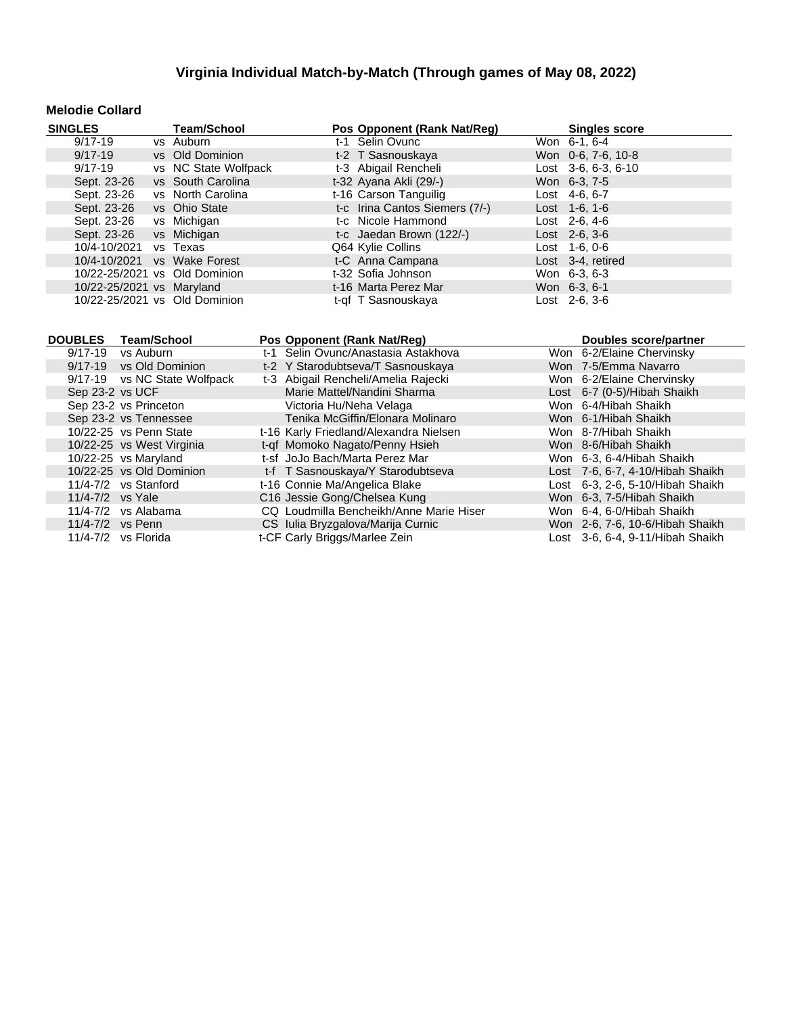#### **Melodie Collard**

| <b>SINGLES</b>                | <b>Team/School</b>   | Pos Opponent (Rank Nat/Reg)    | <b>Singles score</b>  |
|-------------------------------|----------------------|--------------------------------|-----------------------|
| $9/17 - 19$                   | vs Auburn            | t-1 Selin Ovunc                | Won 6-1, 6-4          |
| $9/17 - 19$                   | vs Old Dominion      | t-2 T Sasnouskaya              | Won 0-6, 7-6, 10-8    |
| $9/17 - 19$                   | vs NC State Wolfpack | t-3 Abigail Rencheli           | Lost $3-6, 6-3, 6-10$ |
| Sept. 23-26                   | vs South Carolina    | t-32 Ayana Akli (29/-)         | Won 6-3, 7-5          |
| Sept. 23-26                   | vs North Carolina    | t-16 Carson Tanguilig          | Lost $4-6, 6-7$       |
| Sept. 23-26                   | vs Ohio State        | t-c Irina Cantos Siemers (7/-) | Lost $1-6$ , $1-6$    |
| Sept. 23-26                   | vs Michigan          | t-c Nicole Hammond             | Lost $2-6, 4-6$       |
| Sept. 23-26                   | vs Michigan          | t-c Jaedan Brown (122/-)       | $Last 2-6, 3-6$       |
| 10/4-10/2021                  | vs Texas             | Q64 Kylie Collins              | $Last 1-6, 0-6$       |
| 10/4-10/2021                  | vs Wake Forest       | t-C Anna Campana               | Lost 3-4, retired     |
| 10/22-25/2021 vs Old Dominion |                      | t-32 Sofia Johnson             | Won 6-3, 6-3          |
| 10/22-25/2021 vs Maryland     |                      | t-16 Marta Perez Mar           | Won 6-3, 6-1          |
| 10/22-25/2021 vs Old Dominion |                      | t-qf T Sasnouskaya             | Lost 2-6, 3-6         |

|         | DOUBLES Team/School          | Pos Opponent (Rank Nat/Req)             | Doubles score/partner            |
|---------|------------------------------|-----------------------------------------|----------------------------------|
| 9/17-19 | vs Auburn                    | t-1 Selin Ovunc/Anastasia Astakhova     | Won 6-2/Elaine Chervinsky        |
|         | 9/17-19 vs Old Dominion      | t-2 Y Starodubtseva/T Sasnouskaya       | Won 7-5/Emma Navarro             |
|         | 9/17-19 vs NC State Wolfpack | t-3 Abigail Rencheli/Amelia Rajecki     | Won 6-2/Elaine Chervinsky        |
|         | Sep 23-2 vs UCF              | Marie Mattel/Nandini Sharma             | Lost 6-7 (0-5)/Hibah Shaikh      |
|         | Sep 23-2 vs Princeton        | Victoria Hu/Neha Velaga                 | Won 6-4/Hibah Shaikh             |
|         | Sep 23-2 vs Tennessee        | Tenika McGiffin/Elonara Molinaro        | Won 6-1/Hibah Shaikh             |
|         | 10/22-25 vs Penn State       | t-16 Karly Friedland/Alexandra Nielsen  | Won 8-7/Hibah Shaikh             |
|         | 10/22-25 vs West Virginia    | t-qf Momoko Nagato/Penny Hsieh          | Won 8-6/Hibah Shaikh             |
|         | 10/22-25 vs Maryland         | t-sf JoJo Bach/Marta Perez Mar          | Won 6-3, 6-4/Hibah Shaikh        |
|         | 10/22-25 vs Old Dominion     | t-f T Sasnouskaya/Y Starodubtseva       | Lost 7-6, 6-7, 4-10/Hibah Shaikh |
|         | $11/4 - 7/2$ vs Stanford     | t-16 Connie Ma/Angelica Blake           | Lost 6-3, 2-6, 5-10/Hibah Shaikh |
|         | 11/4-7/2 vs Yale             | C16 Jessie Gong/Chelsea Kung            | Won 6-3, 7-5/Hibah Shaikh        |
|         | $11/4 - 7/2$ vs Alabama      | CQ Loudmilla Bencheikh/Anne Marie Hiser | Won 6-4, 6-0/Hibah Shaikh        |
|         | 11/4-7/2 vs Penn             | CS Iulia Bryzgalova/Marija Curnic       | Won 2-6, 7-6, 10-6/Hibah Shaikh  |
|         | 11/4-7/2 vs Florida          | t-CF Carly Briggs/Marlee Zein           | Lost 3-6, 6-4, 9-11/Hibah Shaikh |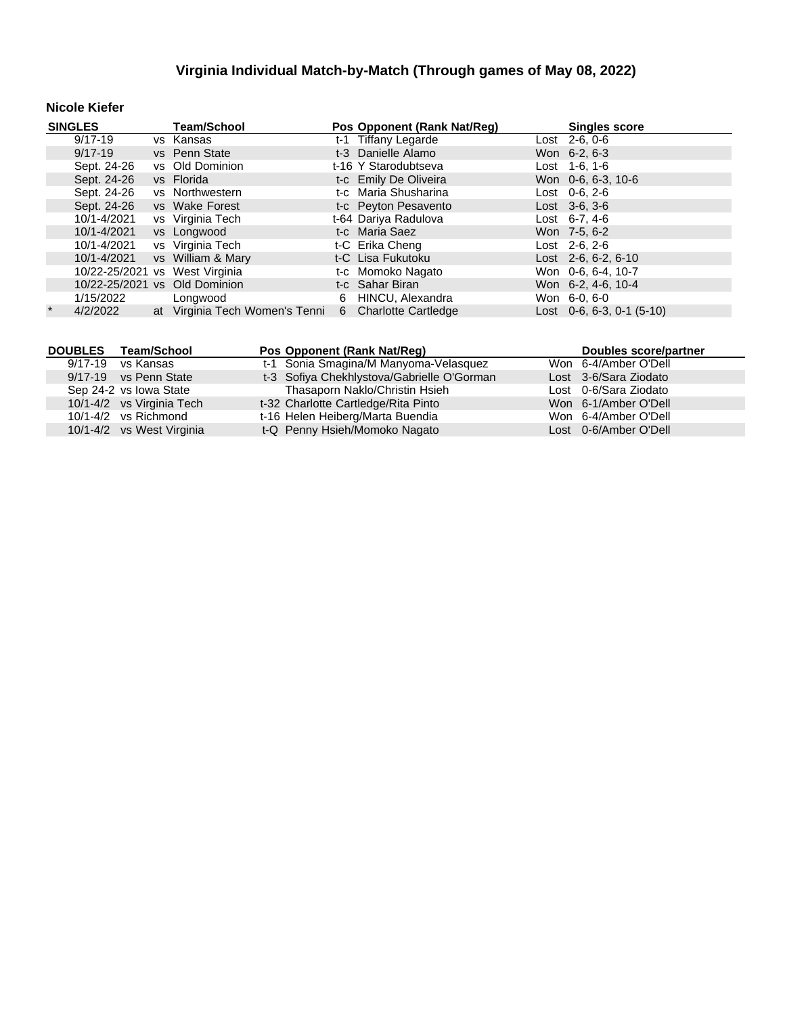#### **Nicole Kiefer**

| <b>SINGLES</b> |             | <b>Team/School</b>             |   | Pos Opponent (Rank Nat/Reg) | <b>Singles score</b> |                                   |
|----------------|-------------|--------------------------------|---|-----------------------------|----------------------|-----------------------------------|
|                | 9/17-19     | vs Kansas                      |   | t-1 Tiffany Legarde         |                      | $\overline{\text{Last}}$ 2-6, 0-6 |
|                | $9/17 - 19$ | vs Penn State                  |   | t-3 Danielle Alamo          |                      | Won 6-2, 6-3                      |
|                | Sept. 24-26 | vs Old Dominion                |   | t-16 Y Starodubtseva        |                      | Lost $1-6$ , $1-6$                |
|                | Sept. 24-26 | vs Florida                     |   | t-c Emily De Oliveira       |                      | Won 0-6, 6-3, 10-6                |
|                | Sept. 24-26 | vs Northwestern                |   | t-c Maria Shusharina        |                      | Lost $0-6, 2-6$                   |
|                | Sept. 24-26 | vs Wake Forest                 |   | t-c Peyton Pesavento        |                      | $Last \, 3-6, 3-6$                |
|                | 10/1-4/2021 | vs Virginia Tech               |   | t-64 Dariya Radulova        |                      | Lost $6-7.4-6$                    |
|                | 10/1-4/2021 | vs Longwood                    |   | t-c Maria Saez              |                      | Won 7-5, 6-2                      |
|                | 10/1-4/2021 | vs Virginia Tech               |   | t-C Erika Cheng             |                      | $Last 2-6, 2-6$                   |
|                | 10/1-4/2021 | vs William & Mary              |   | t-C Lisa Fukutoku           |                      | Lost $2-6, 6-2, 6-10$             |
|                |             | 10/22-25/2021 vs West Virginia |   | t-c Momoko Nagato           |                      | Won 0-6, 6-4, 10-7                |
|                |             | 10/22-25/2021 vs Old Dominion  |   | t-c Sahar Biran             |                      | Won 6-2, 4-6, 10-4                |
|                | 1/15/2022   | Longwood                       | 6 | HINCU, Alexandra            |                      | Won 6-0, 6-0                      |
| $\star$        | 4/2/2022    | at Virginia Tech Women's Tenni |   | 6 Charlotte Cartledge       |                      | Lost $0-6, 6-3, 0-1$ (5-10)       |

|         | DOUBLES Team/School       | Pos Opponent (Rank Nat/Req)                | Doubles score/partner |
|---------|---------------------------|--------------------------------------------|-----------------------|
| 9/17-19 | vs Kansas                 | t-1 Sonia Smagina/M Manyoma-Velasquez      | Won 6-4/Amber O'Dell  |
|         | 9/17-19 vs Penn State     | t-3 Sofiya Chekhlystova/Gabrielle O'Gorman | Lost 3-6/Sara Ziodato |
|         | Sep 24-2 vs Iowa State    | Thasaporn Naklo/Christin Hsieh             | Lost 0-6/Sara Ziodato |
|         | 10/1-4/2 vs Virginia Tech | t-32 Charlotte Cartledge/Rita Pinto        | Won 6-1/Amber O'Dell  |
|         | $10/1 - 4/2$ vs Richmond  | t-16 Helen Heiberg/Marta Buendia           | Won 6-4/Amber O'Dell  |
|         | 10/1-4/2 vs West Virginia | t-Q Penny Hsieh/Momoko Nagato              | Lost 0-6/Amber O'Dell |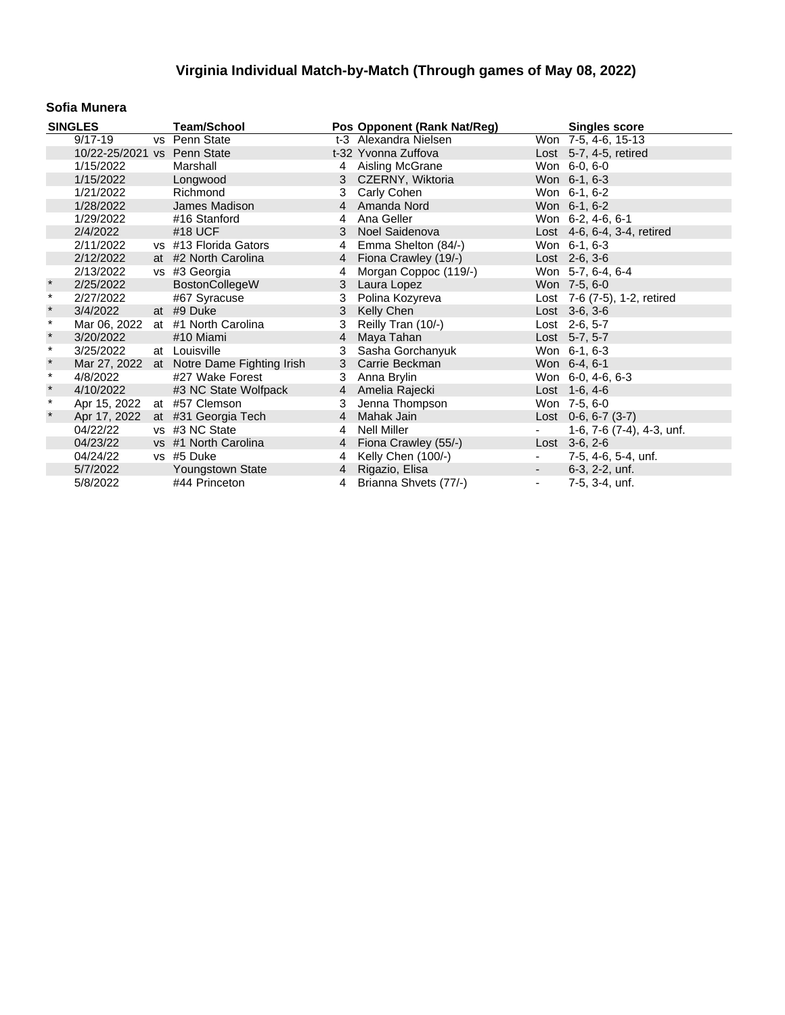#### **Sofia Munera**

|         | <b>SINGLES</b>              | <b>Team/School</b>                        |                | Pos Opponent (Rank Nat/Reg) |                          | <b>Singles score</b>         |
|---------|-----------------------------|-------------------------------------------|----------------|-----------------------------|--------------------------|------------------------------|
|         | $9/17 - 19$                 | vs Penn State                             |                | t-3 Alexandra Nielsen       |                          | Won 7-5, 4-6, 15-13          |
|         | 10/22-25/2021 vs Penn State |                                           |                | t-32 Yvonna Zuffova         |                          | Lost 5-7, 4-5, retired       |
|         | 1/15/2022                   | Marshall                                  |                | 4 Aisling McGrane           |                          | Won 6-0, 6-0                 |
|         | 1/15/2022                   | Longwood                                  |                | 3 CZERNY, Wiktoria          |                          | Won 6-1, 6-3                 |
|         | 1/21/2022                   | Richmond                                  | 3              | Carly Cohen                 |                          | Won 6-1, 6-2                 |
|         | 1/28/2022                   | James Madison                             | $\overline{4}$ | Amanda Nord                 |                          | Won 6-1, 6-2                 |
|         | 1/29/2022                   | #16 Stanford                              | 4              | Ana Geller                  |                          | Won 6-2, 4-6, 6-1            |
|         | 2/4/2022                    | #18 UCF                                   |                | 3 Noel Saidenova            |                          | Lost 4-6, 6-4, 3-4, retired  |
|         | 2/11/2022                   | vs #13 Florida Gators                     | 4              | Emma Shelton (84/-)         |                          | Won 6-1, 6-3                 |
|         | 2/12/2022                   | at #2 North Carolina                      |                | 4 Fiona Crawley (19/-)      |                          | $Last 2-6, 3-6$              |
|         | 2/13/2022                   | vs #3 Georgia                             | 4              | Morgan Coppoc (119/-)       |                          | Won 5-7, 6-4, 6-4            |
| $\ast$  | 2/25/2022                   | BostonCollegeW                            | 3              | Laura Lopez                 |                          | Won 7-5, 6-0                 |
| $\star$ | 2/27/2022                   | #67 Syracuse                              | 3              | Polina Kozyreva             |                          | Lost 7-6 (7-5), 1-2, retired |
| $\star$ | 3/4/2022                    | at #9 Duke                                | 3              | Kelly Chen                  |                          | Lost 3-6, 3-6                |
| $\star$ | Mar 06, 2022                | at #1 North Carolina                      | 3              | Reilly Tran (10/-)          |                          | Lost 2-6, 5-7                |
| $\star$ | 3/20/2022                   | #10 Miami                                 | 4              | Maya Tahan                  |                          | Lost 5-7, 5-7                |
| $\star$ | 3/25/2022                   | at Louisville                             | 3              | Sasha Gorchanyuk            |                          | Won 6-1, 6-3                 |
| $\star$ |                             | Mar 27, 2022 at Notre Dame Fighting Irish | 3              | Carrie Beckman              |                          | Won 6-4, 6-1                 |
| $\star$ | 4/8/2022                    | #27 Wake Forest                           | 3              | Anna Brylin                 |                          | Won 6-0, 4-6, 6-3            |
| $\star$ | 4/10/2022                   | #3 NC State Wolfpack                      | 4              | Amelia Rajecki              |                          | Lost 1-6, 4-6                |
| $\star$ | Apr 15, 2022                | at #57 Clemson                            | 3              | Jenna Thompson              |                          | Won 7-5, 6-0                 |
|         | Apr 17, 2022                | at #31 Georgia Tech                       | $\overline{4}$ | Mahak Jain                  |                          | Lost $0-6$ , $6-7$ $(3-7)$   |
|         | 04/22/22                    | vs #3 NC State                            | 4              | Nell Miller                 |                          | 1-6, 7-6 (7-4), 4-3, unf.    |
|         | 04/23/22                    | vs #1 North Carolina                      |                | 4 Fiona Crawley (55/-)      |                          | Lost $3-6, 2-6$              |
|         | 04/24/22                    | vs #5 Duke                                | 4              | Kelly Chen (100/-)          | $\blacksquare$           | 7-5, 4-6, 5-4, unf.          |
|         | 5/7/2022                    | Youngstown State                          |                | 4 Rigazio, Elisa            |                          | $6-3, 2-2, \text{unf.}$      |
|         | 5/8/2022                    | #44 Princeton                             |                | 4 Brianna Shvets (77/-)     | $\overline{\phantom{a}}$ | 7-5, 3-4, unf.               |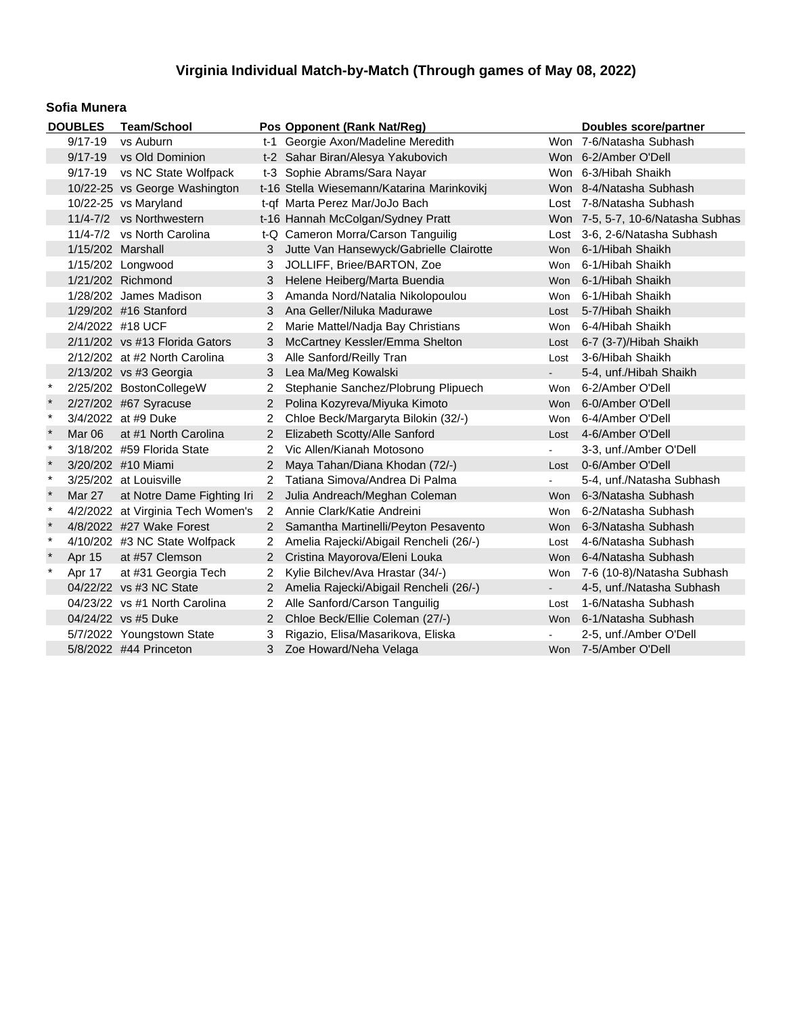#### **Sofia Munera**

| <b>DOUBLES</b> |                   | <b>Team/School</b>                |                | Pos Opponent (Rank Nat/Reg)                | Doubles score/partner |                                   |
|----------------|-------------------|-----------------------------------|----------------|--------------------------------------------|-----------------------|-----------------------------------|
|                | $9/17 - 19$       | vs Auburn                         |                | t-1 Georgie Axon/Madeline Meredith         |                       | Won 7-6/Natasha Subhash           |
|                | $9/17 - 19$       | vs Old Dominion                   |                | t-2 Sahar Biran/Alesya Yakubovich          |                       | Won 6-2/Amber O'Dell              |
|                | $9/17 - 19$       | vs NC State Wolfpack              |                | t-3 Sophie Abrams/Sara Nayar               |                       | Won 6-3/Hibah Shaikh              |
|                |                   | 10/22-25 vs George Washington     |                | t-16 Stella Wiesemann/Katarina Marinkovikj |                       | Won 8-4/Natasha Subhash           |
|                |                   | 10/22-25 vs Maryland              |                | t-qf Marta Perez Mar/JoJo Bach             |                       | Lost 7-8/Natasha Subhash          |
|                |                   | 11/4-7/2 vs Northwestern          |                | t-16 Hannah McColgan/Sydney Pratt          |                       | Won 7-5, 5-7, 10-6/Natasha Subhas |
|                |                   | 11/4-7/2 vs North Carolina        |                | t-Q Cameron Morra/Carson Tanguilig         |                       | Lost 3-6, 2-6/Natasha Subhash     |
|                | 1/15/202 Marshall |                                   | 3              | Jutte Van Hansewyck/Gabrielle Clairotte    | Won                   | 6-1/Hibah Shaikh                  |
|                |                   | 1/15/202 Longwood                 | 3              | JOLLIFF, Briee/BARTON, Zoe                 | Won                   | 6-1/Hibah Shaikh                  |
|                |                   | 1/21/202 Richmond                 | 3              | Helene Heiberg/Marta Buendia               | Won                   | 6-1/Hibah Shaikh                  |
|                |                   | 1/28/202 James Madison            | 3              | Amanda Nord/Natalia Nikolopoulou           | Won                   | 6-1/Hibah Shaikh                  |
|                |                   | 1/29/202 #16 Stanford             | 3              | Ana Geller/Niluka Madurawe                 | Lost                  | 5-7/Hibah Shaikh                  |
|                |                   | 2/4/2022 #18 UCF                  | $\overline{2}$ | Marie Mattel/Nadja Bay Christians          | Won                   | 6-4/Hibah Shaikh                  |
|                |                   | $2/11/202$ vs #13 Florida Gators  | 3              | McCartney Kessler/Emma Shelton             |                       | Lost 6-7 (3-7)/Hibah Shaikh       |
|                |                   | 2/12/202 at #2 North Carolina     | 3              | Alle Sanford/Reilly Tran                   | Lost                  | 3-6/Hibah Shaikh                  |
|                |                   | 2/13/202 vs #3 Georgia            | 3              | Lea Ma/Meg Kowalski                        |                       | 5-4, unf./Hibah Shaikh            |
| $\ast$         |                   | 2/25/202 BostonCollegeW           | 2              | Stephanie Sanchez/Plobrung Plipuech        | Won                   | 6-2/Amber O'Dell                  |
| $\star$        |                   | 2/27/202 #67 Syracuse             | $\overline{2}$ | Polina Kozyreva/Miyuka Kimoto              |                       | Won 6-0/Amber O'Dell              |
| $\ast$         |                   | 3/4/2022 at #9 Duke               | 2              | Chloe Beck/Margaryta Bilokin (32/-)        | Won                   | 6-4/Amber O'Dell                  |
|                | Mar 06            | at #1 North Carolina              | $\overline{2}$ | Elizabeth Scotty/Alle Sanford              |                       | Lost 4-6/Amber O'Dell             |
| $\star$        |                   | 3/18/202 #59 Florida State        | 2              | Vic Allen/Kianah Motosono                  |                       | 3-3, unf./Amber O'Dell            |
|                |                   | 3/20/202 #10 Miami                | 2              | Maya Tahan/Diana Khodan (72/-)             |                       | Lost 0-6/Amber O'Dell             |
| $\ast$         |                   | 3/25/202 at Louisville            | 2              | Tatiana Simova/Andrea Di Palma             | $\sim$                | 5-4, unf./Natasha Subhash         |
| $\pmb{\ast}$   | Mar 27            | at Notre Dame Fighting Iri        | $\overline{2}$ | Julia Andreach/Meghan Coleman              | Won                   | 6-3/Natasha Subhash               |
| $\ast$         |                   | 4/2/2022 at Virginia Tech Women's | $\overline{2}$ | Annie Clark/Katie Andreini                 | Won                   | 6-2/Natasha Subhash               |
| $\star$        |                   | 4/8/2022 #27 Wake Forest          | $2^{\circ}$    | Samantha Martinelli/Peyton Pesavento       |                       | Won 6-3/Natasha Subhash           |
| $\ast$         |                   | 4/10/202 #3 NC State Wolfpack     | $\mathbf{2}$   | Amelia Rajecki/Abigail Rencheli (26/-)     | Lost                  | 4-6/Natasha Subhash               |
|                | Apr 15            | at #57 Clemson                    | $\overline{2}$ | Cristina Mayorova/Eleni Louka              | Won                   | 6-4/Natasha Subhash               |
| $\ast$         | Apr 17            | at #31 Georgia Tech               | 2              | Kylie Bilchev/Ava Hrastar (34/-)           | Won                   | 7-6 (10-8)/Natasha Subhash        |
|                |                   | 04/22/22 vs #3 NC State           | 2 <sup>1</sup> | Amelia Rajecki/Abigail Rencheli (26/-)     | ÷.                    | 4-5, unf./Natasha Subhash         |
|                |                   | 04/23/22 vs #1 North Carolina     | 2              | Alle Sanford/Carson Tanguilig              | Lost                  | 1-6/Natasha Subhash               |
|                |                   | 04/24/22 vs #5 Duke               | $\overline{2}$ | Chloe Beck/Ellie Coleman (27/-)            | <b>Won</b>            | 6-1/Natasha Subhash               |
|                |                   | 5/7/2022 Youngstown State         | 3              | Rigazio, Elisa/Masarikova, Eliska          |                       | 2-5, unf./Amber O'Dell            |
|                |                   | 5/8/2022 #44 Princeton            | 3              | Zoe Howard/Neha Velaga                     |                       | Won 7-5/Amber O'Dell              |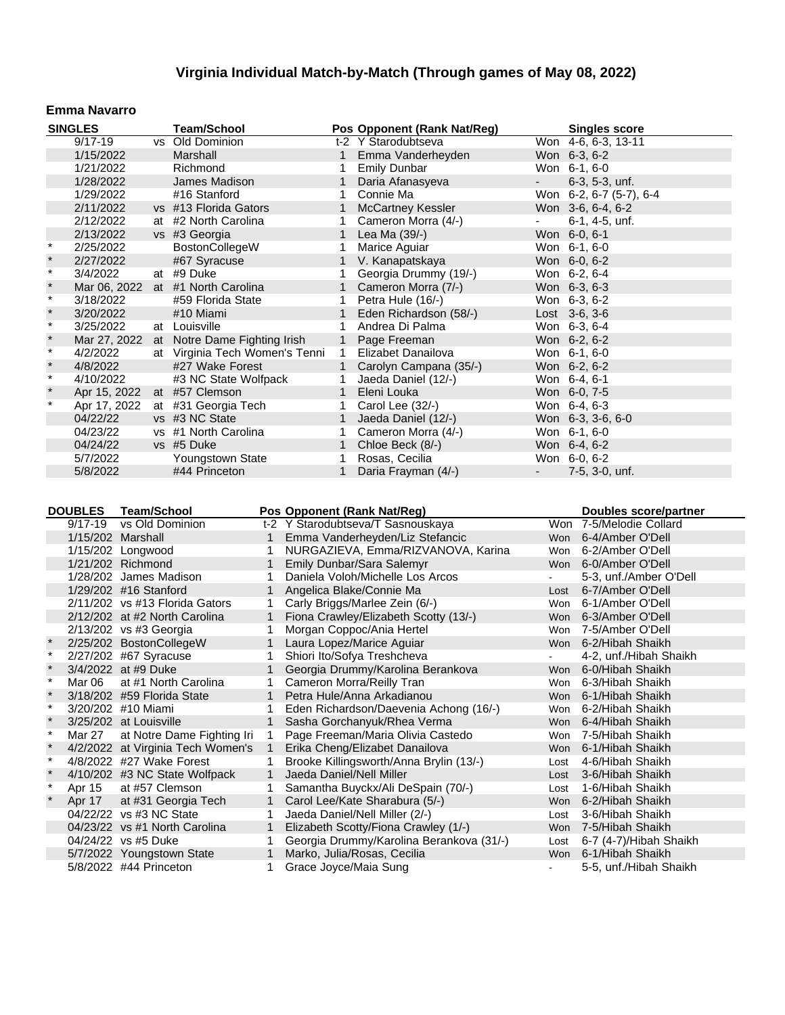#### **Emma Navarro**

| <b>SINGLES</b> |              |  | <b>Team/School</b>                |              | Pos Opponent (Rank Nat/Reg) |        | <b>Singles score</b>    |
|----------------|--------------|--|-----------------------------------|--------------|-----------------------------|--------|-------------------------|
|                | $9/17 - 19$  |  | vs Old Dominion                   |              | t-2 Y Starodubtseva         |        | Won 4-6, 6-3, 13-11     |
|                | 1/15/2022    |  | Marshall                          | 1            | Emma Vanderheyden           |        | Won 6-3, 6-2            |
|                | 1/21/2022    |  | Richmond                          | 1            | <b>Emily Dunbar</b>         |        | Won 6-1, 6-0            |
|                | 1/28/2022    |  | James Madison                     | 1            | Daria Afanasyeva            | $\sim$ | $6-3, 5-3, \text{unf.}$ |
|                | 1/29/2022    |  | #16 Stanford                      |              | Connie Ma                   |        | Won 6-2, 6-7 (5-7), 6-4 |
|                | 2/11/2022    |  | vs #13 Florida Gators             | 1            | <b>McCartney Kessler</b>    |        | Won 3-6, 6-4, 6-2       |
|                | 2/12/2022    |  | at #2 North Carolina              |              | Cameron Morra (4/-)         |        | 6-1, 4-5, unf.          |
|                | 2/13/2022    |  | vs #3 Georgia                     | $\mathbf{1}$ | Lea Ma (39/-)               |        | Won 6-0, 6-1            |
| $\ast$         | 2/25/2022    |  | BostonCollegeW                    |              | Marice Aguiar               |        | Won 6-1, 6-0            |
| $\ast$         | 2/27/2022    |  | #67 Syracuse                      |              | V. Kanapatskaya             |        | Won 6-0, 6-2            |
| $\star$        | 3/4/2022     |  | at #9 Duke                        |              | Georgia Drummy (19/-)       |        | Won 6-2, 6-4            |
| $\pmb{\ast}$   |              |  | Mar 06, 2022 at #1 North Carolina |              | Cameron Morra (7/-)         |        | Won 6-3, 6-3            |
| $\star$        | 3/18/2022    |  | #59 Florida State                 | 1            | Petra Hule (16/-)           |        | Won 6-3, 6-2            |
| $\ast$         | 3/20/2022    |  | #10 Miami                         |              | Eden Richardson (58/-)      |        | Lost $3-6, 3-6$         |
| $\star$        | 3/25/2022    |  | at Louisville                     | 1            | Andrea Di Palma             |        | Won 6-3, 6-4            |
| $\star$        | Mar 27, 2022 |  | at Notre Dame Fighting Irish      | $\mathbf{1}$ | Page Freeman                |        | Won 6-2, 6-2            |
| $\star$        | 4/2/2022     |  | at Virginia Tech Women's Tenni    | $\mathbf{1}$ | Elizabet Danailova          |        | Won 6-1, 6-0            |
| $\ast$         | 4/8/2022     |  | #27 Wake Forest                   |              | 1 Carolyn Campana (35/-)    |        | Won 6-2, 6-2            |
| $\star$        | 4/10/2022    |  | #3 NC State Wolfpack              | 1            | Jaeda Daniel (12/-)         |        | Won 6-4, 6-1            |
| $\star$        | Apr 15, 2022 |  | at #57 Clemson                    |              | Eleni Louka                 |        | Won 6-0, 7-5            |
| $\star$        | Apr 17, 2022 |  | at #31 Georgia Tech               | 1            | Carol Lee (32/-)            |        | Won 6-4, 6-3            |
|                | 04/22/22     |  | vs #3 NC State                    | 1            | Jaeda Daniel (12/-)         |        | Won 6-3, 3-6, 6-0       |
|                | 04/23/22     |  | vs #1 North Carolina              |              | Cameron Morra (4/-)         |        | Won 6-1, 6-0            |
|                | 04/24/22     |  | vs #5 Duke                        |              | Chloe Beck (8/-)            |        | Won 6-4, 6-2            |
|                | 5/7/2022     |  | Youngstown State                  |              | Rosas, Cecilia              |        | Won 6-0, 6-2            |
|                | 5/8/2022     |  | #44 Princeton                     |              | Daria Frayman (4/-)         |        | 7-5, 3-0, unf.          |

|              | <b>DOUBLES</b>    | <b>Team/School</b>                |              | Pos Opponent (Rank Nat/Reg)              |                | <b>Doubles score/partner</b> |
|--------------|-------------------|-----------------------------------|--------------|------------------------------------------|----------------|------------------------------|
|              | $9/17 - 19$       | vs Old Dominion                   |              | t-2 Y Starodubtseva/T Sasnouskaya        |                | Won 7-5/Melodie Collard      |
|              | 1/15/202 Marshall |                                   |              | Emma Vanderheyden/Liz Stefancic          |                | Won 6-4/Amber O'Dell         |
|              |                   | 1/15/202 Longwood                 |              | NURGAZIEVA, Emma/RIZVANOVA, Karina       | Won            | 6-2/Amber O'Dell             |
|              |                   | 1/21/202 Richmond                 | 1.           | Emily Dunbar/Sara Salemyr                |                | Won 6-0/Amber O'Dell         |
|              |                   | 1/28/202 James Madison            |              | Daniela Voloh/Michelle Los Arcos         | $\blacksquare$ | 5-3, unf./Amber O'Dell       |
|              |                   | 1/29/202 #16 Stanford             |              | Angelica Blake/Connie Ma                 | Lost           | 6-7/Amber O'Dell             |
|              |                   | $2/11/202$ vs #13 Florida Gators  | 1.           | Carly Briggs/Marlee Zein (6/-)           | Won            | 6-1/Amber O'Dell             |
|              |                   | 2/12/202 at #2 North Carolina     | 1            | Fiona Crawley/Elizabeth Scotty (13/-)    |                | Won 6-3/Amber O'Dell         |
|              |                   | 2/13/202 vs #3 Georgia            |              | Morgan Coppoc/Ania Hertel                |                | Won 7-5/Amber O'Dell         |
| $\star$      |                   | 2/25/202 BostonCollegeW           | $\mathbf{1}$ | Laura Lopez/Marice Aguiar                |                | Won 6-2/Hibah Shaikh         |
| $\star$      |                   | 2/27/202 #67 Syracuse             |              | Shiori Ito/Sofya Treshcheva              | $\blacksquare$ | 4-2, unf./Hibah Shaikh       |
| $\star$      |                   | 3/4/2022 at #9 Duke               |              | Georgia Drummy/Karolina Berankova        |                | Won 6-0/Hibah Shaikh         |
| $\star$      | Mar 06            | at #1 North Carolina              |              | Cameron Morra/Reilly Tran                | Won            | 6-3/Hibah Shaikh             |
|              |                   | 3/18/202 #59 Florida State        | 1            | Petra Hule/Anna Arkadianou               |                | Won 6-1/Hibah Shaikh         |
| $\star$      |                   | 3/20/202 #10 Miami                | 1            | Eden Richardson/Daevenia Achong (16/-)   | Won            | 6-2/Hibah Shaikh             |
| $\pmb{\ast}$ |                   | 3/25/202 at Louisville            | $\mathbf{1}$ | Sasha Gorchanyuk/Rhea Verma              | Won            | 6-4/Hibah Shaikh             |
| $\ast$       | Mar 27            | at Notre Dame Fighting Iri        | 1            | Page Freeman/Maria Olivia Castedo        | Won            | 7-5/Hibah Shaikh             |
| $\pmb{\ast}$ |                   | 4/2/2022 at Virginia Tech Women's | $\mathbf{1}$ | Erika Cheng/Elizabet Danailova           |                | Won 6-1/Hibah Shaikh         |
| $\star$      |                   | 4/8/2022 #27 Wake Forest          |              | Brooke Killingsworth/Anna Brylin (13/-)  | Lost           | 4-6/Hibah Shaikh             |
| $\pmb{\ast}$ |                   | 4/10/202 #3 NC State Wolfpack     | 1            | Jaeda Daniel/Nell Miller                 | Lost           | 3-6/Hibah Shaikh             |
| $\star$      | Apr 15            | at #57 Clemson                    |              | Samantha Buyckx/Ali DeSpain (70/-)       | Lost           | 1-6/Hibah Shaikh             |
| $\star$      | Apr 17            | at #31 Georgia Tech               | 1            | Carol Lee/Kate Sharabura (5/-)           | <b>Won</b>     | 6-2/Hibah Shaikh             |
|              |                   | 04/22/22 vs #3 NC State           |              | Jaeda Daniel/Nell Miller (2/-)           | Lost           | 3-6/Hibah Shaikh             |
|              |                   | 04/23/22 vs #1 North Carolina     | $\mathbf 1$  | Elizabeth Scotty/Fiona Crawley (1/-)     | <b>Won</b>     | 7-5/Hibah Shaikh             |
|              |                   | 04/24/22 vs #5 Duke               |              | Georgia Drummy/Karolina Berankova (31/-) | Lost           | 6-7 (4-7)/Hibah Shaikh       |
|              |                   | 5/7/2022 Youngstown State         | 1            | Marko, Julia/Rosas, Cecilia              | Won            | 6-1/Hibah Shaikh             |
|              |                   | 5/8/2022 #44 Princeton            |              | Grace Joyce/Maia Sung                    |                | 5-5, unf./Hibah Shaikh       |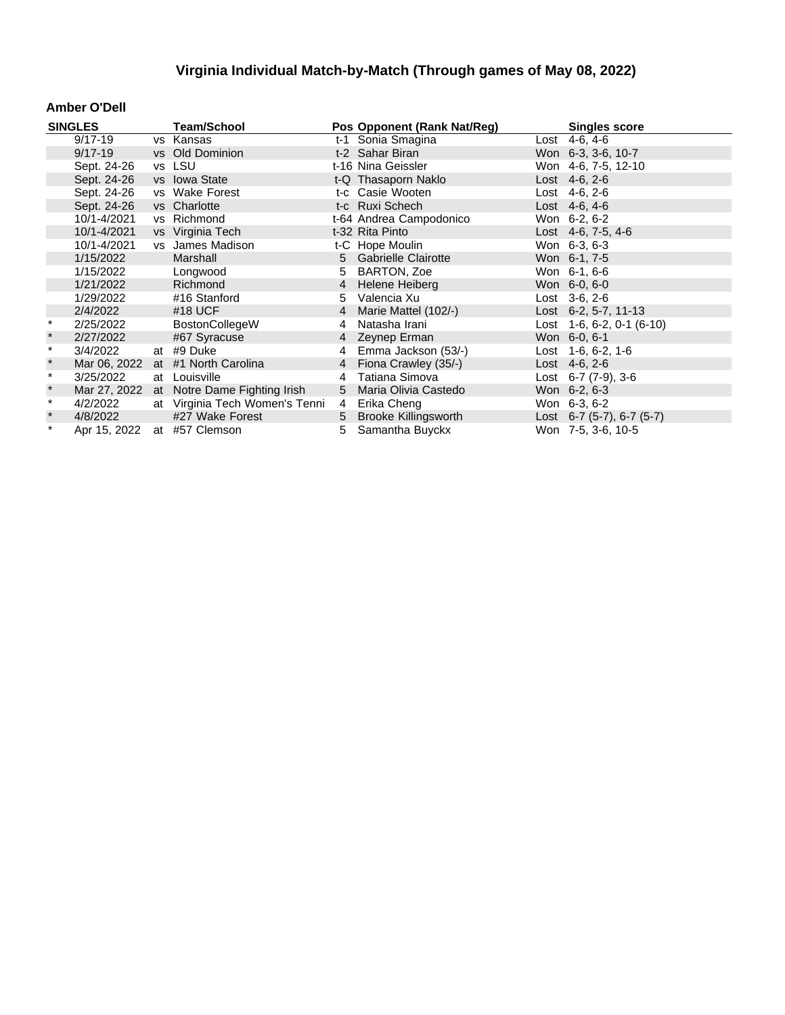#### **Amber O'Dell**

|               | <b>SINGLES</b> |    | <b>Team/School</b>             |    | Pos Opponent (Rank Nat/Reg) | <b>Singles score</b>        |
|---------------|----------------|----|--------------------------------|----|-----------------------------|-----------------------------|
|               | $9/17 - 19$    |    | vs Kansas                      |    | t-1 Sonia Smagina           | Lost 4-6, 4-6               |
|               | $9/17 - 19$    |    | vs Old Dominion                |    | t-2 Sahar Biran             | Won 6-3, 3-6, 10-7          |
|               | Sept. 24-26    |    | vs LSU                         |    | t-16 Nina Geissler          | Won 4-6, 7-5, 12-10         |
|               | Sept. 24-26    |    | vs Iowa State                  |    | t-Q Thasaporn Naklo         | Lost 4-6, 2-6               |
|               | Sept. 24-26    |    | vs Wake Forest                 |    | t-c Casie Wooten            | Lost $4-6, 2-6$             |
|               | Sept. 24-26    |    | vs Charlotte                   |    | t-c Ruxi Schech             | Lost $4-6, 4-6$             |
|               | 10/1-4/2021    |    | vs Richmond                    |    | t-64 Andrea Campodonico     | Won 6-2, 6-2                |
|               | 10/1-4/2021    |    | vs Virginia Tech               |    | t-32 Rita Pinto             | Lost 4-6, 7-5, 4-6          |
|               | 10/1-4/2021    |    | vs James Madison               |    | t-C Hope Moulin             | Won 6-3, 6-3                |
|               | 1/15/2022      |    | Marshall                       |    | 5 Gabrielle Clairotte       | Won 6-1, 7-5                |
|               | 1/15/2022      |    | Longwood                       | 5  | BARTON, Zoe                 | Won 6-1, 6-6                |
|               | 1/21/2022      |    | Richmond                       | 4  | Helene Heiberg              | Won 6-0, 6-0                |
|               | 1/29/2022      |    | #16 Stanford                   | 5. | Valencia Xu                 | $Last \, 3-6, 2-6$          |
|               | 2/4/2022       |    | #18 UCF                        | 4  | Marie Mattel (102/-)        | Lost $6-2, 5-7, 11-13$      |
| $\star$       | 2/25/2022      |    | BostonCollegeW                 | 4  | Natasha Irani               | Lost $1-6, 6-2, 0-1$ (6-10) |
| $\ast$        | 2/27/2022      |    | #67 Syracuse                   |    | 4 Zeynep Erman              | Won 6-0, 6-1                |
| $\pmb{\star}$ | 3/4/2022       |    | at #9 Duke                     |    | 4 Emma Jackson (53/-)       | Lost 1-6, 6-2, 1-6          |
| $\ast$        | Mar 06, 2022   |    | at #1 North Carolina           |    | 4 Fiona Crawley (35/-)      | Lost $4-6, 2-6$             |
| $\star$       | 3/25/2022      | at | Louisville                     | 4  | Tatiana Simova              | Lost $6-7$ $(7-9)$ , $3-6$  |
| $\star$       | Mar 27, 2022   |    | at Notre Dame Fighting Irish   |    | 5 Maria Olivia Castedo      | Won 6-2, 6-3                |
| $\star$       | 4/2/2022       |    | at Virginia Tech Women's Tenni | 4  | Erika Cheng                 | Won 6-3, 6-2                |
| $\star$       | 4/8/2022       |    | #27 Wake Forest                |    | 5 Brooke Killingsworth      | Lost 6-7 (5-7), 6-7 (5-7)   |
| $\star$       | Apr 15, 2022   |    | at #57 Clemson                 |    | 5 Samantha Buyckx           | Won 7-5, 3-6, 10-5          |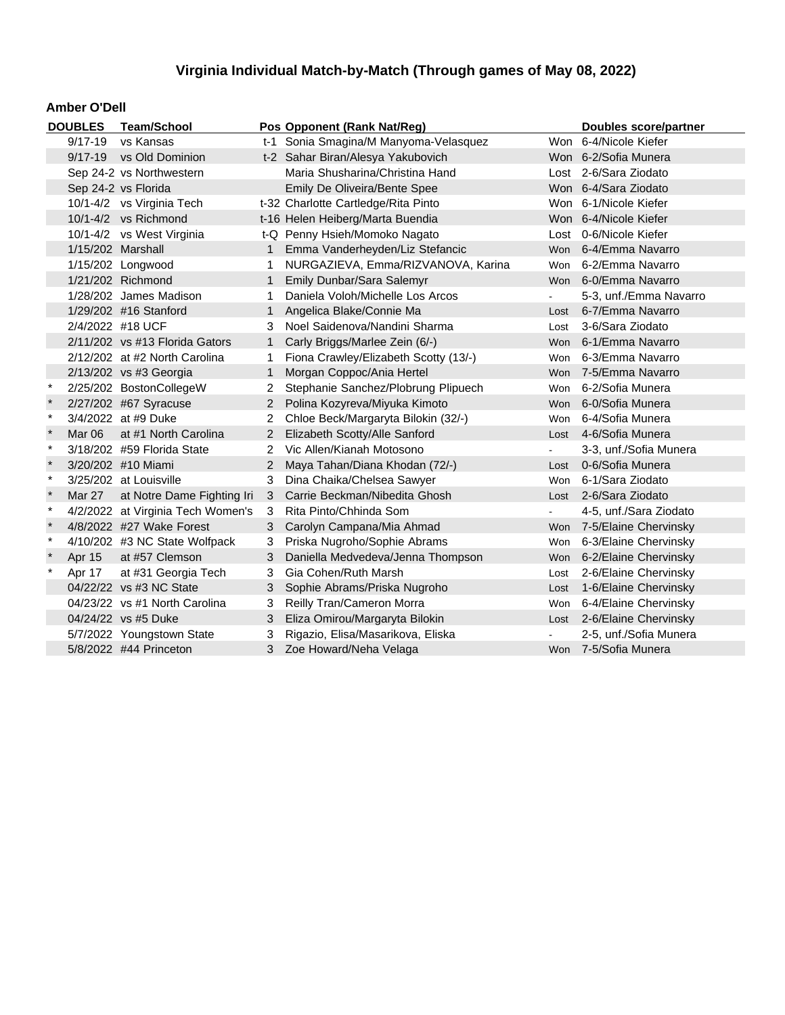#### **Amber O'Dell**

| <b>DOUBLES</b>           |                   | <b>Team/School</b>                |                                       | Pos Opponent (Rank Nat/Reg)           | Doubles score/partner |                            |
|--------------------------|-------------------|-----------------------------------|---------------------------------------|---------------------------------------|-----------------------|----------------------------|
| vs Kansas<br>$9/17 - 19$ |                   |                                   | t-1 Sonia Smagina/M Manyoma-Velasquez |                                       | Won 6-4/Nicole Kiefer |                            |
|                          | $9/17 - 19$       | vs Old Dominion                   |                                       | t-2 Sahar Biran/Alesya Yakubovich     |                       | Won 6-2/Sofia Munera       |
|                          |                   | Sep 24-2 vs Northwestern          |                                       | Maria Shusharina/Christina Hand       |                       | Lost 2-6/Sara Ziodato      |
|                          |                   | Sep 24-2 vs Florida               |                                       | Emily De Oliveira/Bente Spee          |                       | Won 6-4/Sara Ziodato       |
|                          |                   | 10/1-4/2 vs Virginia Tech         |                                       | t-32 Charlotte Cartledge/Rita Pinto   |                       | Won 6-1/Nicole Kiefer      |
|                          |                   | 10/1-4/2 vs Richmond              |                                       | t-16 Helen Heiberg/Marta Buendia      |                       | Won 6-4/Nicole Kiefer      |
|                          |                   | 10/1-4/2 vs West Virginia         |                                       | t-Q Penny Hsieh/Momoko Nagato         |                       | Lost 0-6/Nicole Kiefer     |
|                          | 1/15/202 Marshall |                                   | 1                                     | Emma Vanderheyden/Liz Stefancic       |                       | Won 6-4/Emma Navarro       |
|                          |                   | 1/15/202 Longwood                 |                                       | NURGAZIEVA, Emma/RIZVANOVA, Karina    | Won                   | 6-2/Emma Navarro           |
|                          |                   | 1/21/202 Richmond                 | 1                                     | Emily Dunbar/Sara Salemyr             |                       | Won 6-0/Emma Navarro       |
|                          |                   | 1/28/202 James Madison            | 1.                                    | Daniela Voloh/Michelle Los Arcos      | $\blacksquare$        | 5-3, unf./Emma Navarro     |
|                          |                   | 1/29/202 #16 Stanford             | 1.                                    | Angelica Blake/Connie Ma              | Lost                  | 6-7/Emma Navarro           |
|                          |                   | 2/4/2022 #18 UCF                  | 3                                     | Noel Saidenova/Nandini Sharma         | Lost                  | 3-6/Sara Ziodato           |
|                          |                   | 2/11/202 vs #13 Florida Gators    | $\mathbf{1}$                          | Carly Briggs/Marlee Zein (6/-)        |                       | Won 6-1/Emma Navarro       |
|                          |                   | 2/12/202 at #2 North Carolina     |                                       | Fiona Crawley/Elizabeth Scotty (13/-) | Won                   | 6-3/Emma Navarro           |
|                          |                   | 2/13/202 vs #3 Georgia            | 1                                     | Morgan Coppoc/Ania Hertel             |                       | Won 7-5/Emma Navarro       |
| $\star$                  |                   | 2/25/202 BostonCollegeW           | 2                                     | Stephanie Sanchez/Plobrung Plipuech   | Won                   | 6-2/Sofia Munera           |
|                          |                   | 2/27/202 #67 Syracuse             | $\overline{2}$                        | Polina Kozyreva/Miyuka Kimoto         |                       | Won 6-0/Sofia Munera       |
| $\ast$                   |                   | 3/4/2022 at #9 Duke               | $\overline{2}$                        | Chloe Beck/Margaryta Bilokin (32/-)   |                       | Won 6-4/Sofia Munera       |
|                          | Mar 06            | at #1 North Carolina              | $\overline{2}$                        | Elizabeth Scotty/Alle Sanford         |                       | Lost 4-6/Sofia Munera      |
| $\ast$                   |                   | 3/18/202 #59 Florida State        | 2                                     | Vic Allen/Kianah Motosono             |                       | 3-3, unf./Sofia Munera     |
|                          |                   | 3/20/202 #10 Miami                |                                       | Maya Tahan/Diana Khodan (72/-)        | Lost                  | 0-6/Sofia Munera           |
| $\pmb{\ast}$             |                   | 3/25/202 at Louisville            | 3.                                    | Dina Chaika/Chelsea Sawyer            | Won                   | 6-1/Sara Ziodato           |
| $\ast$                   | Mar 27            | at Notre Dame Fighting Iri        | 3                                     | Carrie Beckman/Nibedita Ghosh         |                       | Lost 2-6/Sara Ziodato      |
| $\ast$                   |                   | 4/2/2022 at Virginia Tech Women's | 3                                     | Rita Pinto/Chhinda Som                | $\blacksquare$        | 4-5, unf./Sara Ziodato     |
|                          |                   | 4/8/2022 #27 Wake Forest          | 3                                     | Carolyn Campana/Mia Ahmad             |                       | Won 7-5/Elaine Chervinsky  |
|                          |                   | 4/10/202 #3 NC State Wolfpack     | 3                                     | Priska Nugroho/Sophie Abrams          |                       | Won 6-3/Elaine Chervinsky  |
|                          | Apr 15            | at #57 Clemson                    | 3                                     | Daniella Medvedeva/Jenna Thompson     |                       | Won 6-2/Elaine Chervinsky  |
| $\ast$                   | Apr 17            | at #31 Georgia Tech               | 3                                     | Gia Cohen/Ruth Marsh                  | Lost                  | 2-6/Elaine Chervinsky      |
|                          |                   | 04/22/22 vs #3 NC State           | 3                                     | Sophie Abrams/Priska Nugroho          | Lost                  | 1-6/Elaine Chervinsky      |
|                          |                   | 04/23/22 vs #1 North Carolina     | 3                                     | Reilly Tran/Cameron Morra             | Won                   | 6-4/Elaine Chervinsky      |
|                          |                   | 04/24/22 vs #5 Duke               | 3                                     | Eliza Omirou/Margaryta Bilokin        |                       | Lost 2-6/Elaine Chervinsky |
|                          |                   | 5/7/2022 Youngstown State         | 3                                     | Rigazio, Elisa/Masarikova, Eliska     |                       | 2-5, unf./Sofia Munera     |
|                          |                   | 5/8/2022 #44 Princeton            | 3                                     | Zoe Howard/Neha Velaga                |                       | Won 7-5/Sofia Munera       |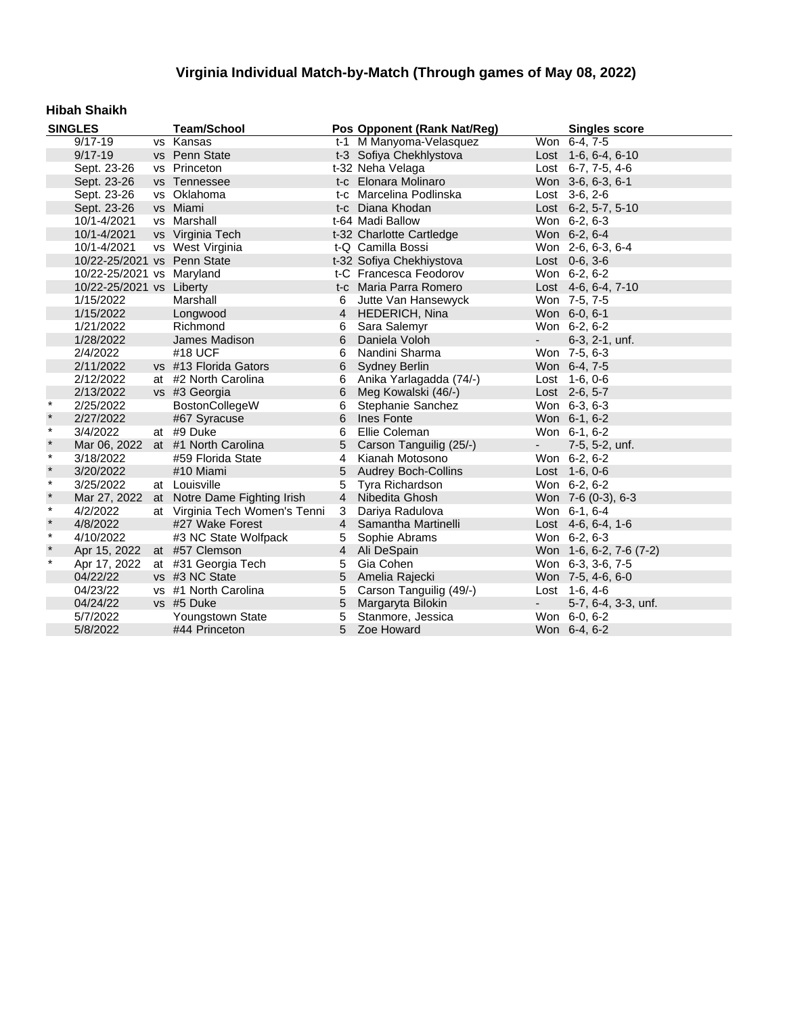### **Hibah Shaikh**

| <b>SINGLES</b> |                             | <b>Team/School</b>                        |                | Pos Opponent (Rank Nat/Reg) |                          | <b>Singles score</b>    |
|----------------|-----------------------------|-------------------------------------------|----------------|-----------------------------|--------------------------|-------------------------|
|                | $9/17 - 19$                 | vs Kansas                                 |                | t-1 M Manyoma-Velasquez     |                          | Won 6-4, 7-5            |
|                | $9/17 - 19$                 | vs Penn State                             |                | t-3 Sofiya Chekhlystova     |                          | Lost 1-6, 6-4, 6-10     |
|                | Sept. 23-26                 | vs Princeton                              |                | t-32 Neha Velaga            |                          | Lost 6-7, 7-5, 4-6      |
|                | Sept. 23-26                 | vs Tennessee                              |                | t-c Elonara Molinaro        |                          | Won 3-6, 6-3, 6-1       |
|                | Sept. 23-26                 | vs Oklahoma                               |                | t-c Marcelina Podlinska     |                          | Lost 3-6, 2-6           |
|                | Sept. 23-26                 | vs Miami                                  |                | t-c Diana Khodan            |                          | Lost 6-2, 5-7, 5-10     |
|                | 10/1-4/2021                 | vs Marshall                               |                | t-64 Madi Ballow            |                          | Won 6-2, 6-3            |
|                | 10/1-4/2021                 | vs Virginia Tech                          |                | t-32 Charlotte Cartledge    |                          | Won 6-2, 6-4            |
|                | 10/1-4/2021                 | vs West Virginia                          |                | t-Q Camilla Bossi           |                          | Won 2-6, 6-3, 6-4       |
|                | 10/22-25/2021 vs Penn State |                                           |                | t-32 Sofiya Chekhiystova    |                          | Lost 0-6, 3-6           |
|                | 10/22-25/2021 vs Maryland   |                                           |                | t-C Francesca Feodorov      |                          | Won 6-2, 6-2            |
|                | 10/22-25/2021 vs Liberty    |                                           |                | t-c Maria Parra Romero      |                          | Lost 4-6, 6-4, 7-10     |
|                | 1/15/2022                   | Marshall                                  | 6              | Jutte Van Hansewyck         |                          | Won 7-5, 7-5            |
|                | 1/15/2022                   | Longwood                                  | $\overline{4}$ | HEDERICH, Nina              |                          | Won 6-0, 6-1            |
|                | 1/21/2022                   | Richmond                                  | 6              | Sara Salemyr                |                          | Won 6-2, 6-2            |
|                | 1/28/2022                   | James Madison                             | 6              | Daniela Voloh               | $\sim$                   | 6-3, 2-1, unf.          |
|                | 2/4/2022                    | #18 UCF                                   | 6              | Nandini Sharma              |                          | Won 7-5, 6-3            |
|                | 2/11/2022                   | vs #13 Florida Gators                     | 6              | Sydney Berlin               |                          | Won 6-4, 7-5            |
|                | 2/12/2022                   | at #2 North Carolina                      | 6              | Anika Yarlagadda (74/-)     |                          | Lost 1-6, 0-6           |
|                | 2/13/2022                   | vs #3 Georgia                             | 6              | Meg Kowalski (46/-)         |                          | Lost 2-6, 5-7           |
| $\star$        | 2/25/2022                   | BostonCollegeW                            | 6              | Stephanie Sanchez           |                          | Won 6-3, 6-3            |
| $\star$        | 2/27/2022                   | #67 Syracuse                              | 6              | Ines Fonte                  |                          | Won 6-1, 6-2            |
| $\star$        | 3/4/2022                    | at #9 Duke                                | 6              | Ellie Coleman               |                          | Won 6-1, 6-2            |
| $\star$        | Mar 06, 2022                | at #1 North Carolina                      | 5              | Carson Tanguilig (25/-)     | $\blacksquare$           | 7-5, 5-2, unf.          |
| $\star$        | 3/18/2022                   | #59 Florida State                         | 4              | Kianah Motosono             |                          | Won 6-2, 6-2            |
| $\star$        | 3/20/2022                   | #10 Miami                                 | 5              | <b>Audrey Boch-Collins</b>  |                          | Lost 1-6, 0-6           |
| $\star$        | 3/25/2022                   | at Louisville                             | 5              | Tyra Richardson             |                          | Won 6-2, 6-2            |
| $\star$        |                             | Mar 27, 2022 at Notre Dame Fighting Irish | $\overline{4}$ | Nibedita Ghosh              |                          | Won 7-6 (0-3), 6-3      |
| $\star$        | 4/2/2022                    | at Virginia Tech Women's Tenni            | 3              | Dariya Radulova             |                          | Won 6-1, 6-4            |
| $\star$        | 4/8/2022                    | #27 Wake Forest                           | $\overline{4}$ | Samantha Martinelli         |                          | Lost 4-6, 6-4, 1-6      |
| $\star$        | 4/10/2022                   | #3 NC State Wolfpack                      | 5              | Sophie Abrams               |                          | Won 6-2, 6-3            |
| $\pmb{\ast}$   | Apr 15, 2022                | at #57 Clemson                            | $\overline{4}$ | Ali DeSpain                 |                          | Won 1-6, 6-2, 7-6 (7-2) |
| $\ast$         | Apr 17, 2022                | at #31 Georgia Tech                       | 5              | Gia Cohen                   |                          | Won 6-3, 3-6, 7-5       |
|                | 04/22/22                    | vs #3 NC State                            | 5              | Amelia Rajecki              |                          | Won 7-5, 4-6, 6-0       |
|                | 04/23/22                    | vs #1 North Carolina                      | 5              | Carson Tanguilig (49/-)     |                          | Lost 1-6, 4-6           |
|                | 04/24/22                    | vs #5 Duke                                | 5              | Margaryta Bilokin           | $\overline{\phantom{a}}$ | 5-7, 6-4, 3-3, unf.     |
|                | 5/7/2022                    | Youngstown State                          | 5              | Stanmore, Jessica           |                          | Won 6-0, 6-2            |
|                | 5/8/2022                    | #44 Princeton                             | 5              | Zoe Howard                  |                          | Won 6-4, 6-2            |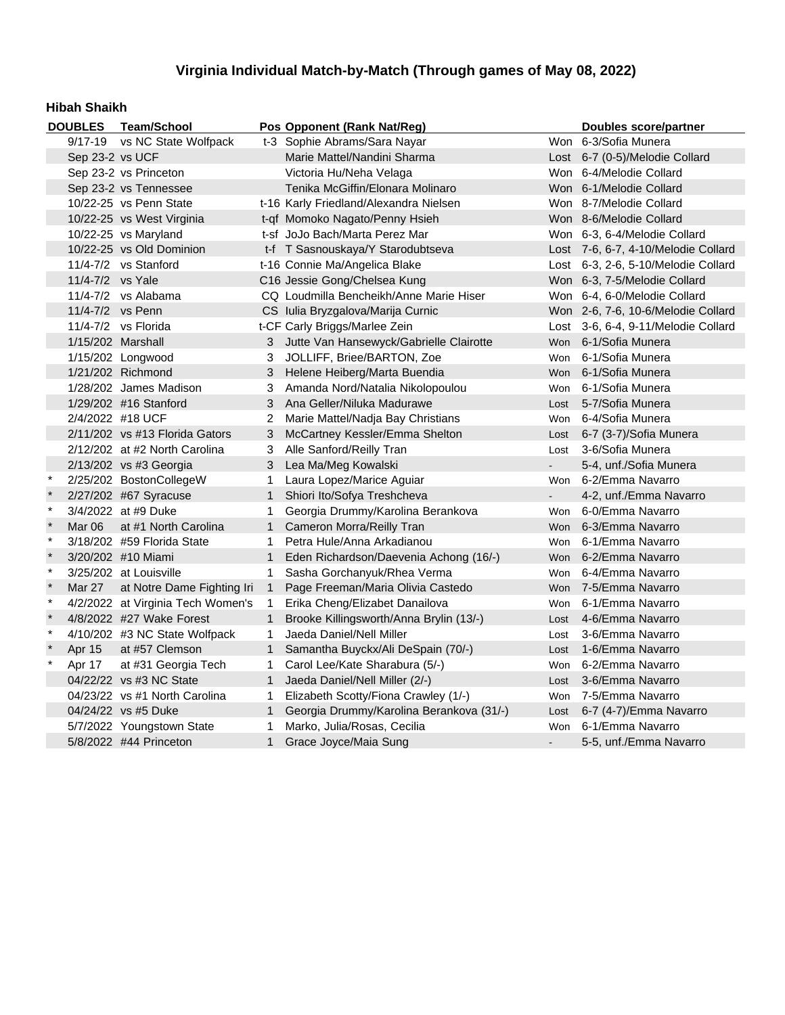#### **Hibah Shaikh**

|              | <b>DOUBLES</b>    | <b>Team/School</b>                                           |              | Pos Opponent (Rank Nat/Reg)              |                      | Doubles score/partner               |
|--------------|-------------------|--------------------------------------------------------------|--------------|------------------------------------------|----------------------|-------------------------------------|
|              |                   | 9/17-19 vs NC State Wolfpack<br>t-3 Sophie Abrams/Sara Nayar |              |                                          | Won 6-3/Sofia Munera |                                     |
|              | Sep 23-2 vs UCF   |                                                              |              | Marie Mattel/Nandini Sharma              |                      | Lost 6-7 (0-5)/Melodie Collard      |
|              |                   | Sep 23-2 vs Princeton                                        |              | Victoria Hu/Neha Velaga                  |                      | Won 6-4/Melodie Collard             |
|              |                   | Sep 23-2 vs Tennessee                                        |              | Tenika McGiffin/Elonara Molinaro         |                      | Won 6-1/Melodie Collard             |
|              |                   | 10/22-25 vs Penn State                                       |              | t-16 Karly Friedland/Alexandra Nielsen   |                      | Won 8-7/Melodie Collard             |
|              |                   | 10/22-25 vs West Virginia                                    |              | t-qf Momoko Nagato/Penny Hsieh           |                      | Won 8-6/Melodie Collard             |
|              |                   | 10/22-25 vs Maryland                                         |              | t-sf JoJo Bach/Marta Perez Mar           |                      | Won 6-3, 6-4/Melodie Collard        |
|              |                   | 10/22-25 vs Old Dominion                                     |              | t-f T Sasnouskaya/Y Starodubtseva        |                      | Lost 7-6, 6-7, 4-10/Melodie Collard |
|              |                   | 11/4-7/2 vs Stanford                                         |              | t-16 Connie Ma/Angelica Blake            |                      | Lost 6-3, 2-6, 5-10/Melodie Collard |
|              | 11/4-7/2 vs Yale  |                                                              |              | C16 Jessie Gong/Chelsea Kung             |                      | Won 6-3, 7-5/Melodie Collard        |
|              |                   | $11/4 - 7/2$ vs Alabama                                      |              | CQ Loudmilla Bencheikh/Anne Marie Hiser  |                      | Won 6-4, 6-0/Melodie Collard        |
|              | 11/4-7/2 vs Penn  |                                                              |              | CS Iulia Bryzgalova/Marija Curnic        |                      | Won 2-6, 7-6, 10-6/Melodie Collard  |
|              |                   | 11/4-7/2 vs Florida                                          |              | t-CF Carly Briggs/Marlee Zein            |                      | Lost 3-6, 6-4, 9-11/Melodie Collard |
|              | 1/15/202 Marshall |                                                              | 3            | Jutte Van Hansewyck/Gabrielle Clairotte  | Won                  | 6-1/Sofia Munera                    |
|              |                   | 1/15/202 Longwood                                            | 3            | JOLLIFF, Briee/BARTON, Zoe               | Won                  | 6-1/Sofia Munera                    |
|              |                   | 1/21/202 Richmond                                            | 3            | Helene Heiberg/Marta Buendia             |                      | Won 6-1/Sofia Munera                |
|              |                   | 1/28/202 James Madison                                       | 3            | Amanda Nord/Natalia Nikolopoulou         |                      | Won 6-1/Sofia Munera                |
|              |                   | 1/29/202 #16 Stanford                                        | 3            | Ana Geller/Niluka Madurawe               | Lost                 | 5-7/Sofia Munera                    |
|              | 2/4/2022 #18 UCF  |                                                              | 2            | Marie Mattel/Nadja Bay Christians        | Won                  | 6-4/Sofia Munera                    |
|              |                   | $2/11/202$ vs #13 Florida Gators                             | 3            | McCartney Kessler/Emma Shelton           | Lost                 | 6-7 (3-7)/Sofia Munera              |
|              |                   | 2/12/202 at #2 North Carolina                                | 3            | Alle Sanford/Reilly Tran                 | Lost                 | 3-6/Sofia Munera                    |
|              |                   | 2/13/202 vs #3 Georgia                                       | 3            | Lea Ma/Meg Kowalski                      |                      | 5-4, unf./Sofia Munera              |
| $\star$      |                   | 2/25/202 BostonCollegeW                                      | 1            | Laura Lopez/Marice Aguiar                |                      | Won 6-2/Emma Navarro                |
| $\star$      |                   | 2/27/202 #67 Syracuse                                        | $\mathbf{1}$ | Shiori Ito/Sofya Treshcheva              | $\blacksquare$       | 4-2, unf./Emma Navarro              |
| $\star$      |                   | 3/4/2022 at #9 Duke                                          | 1            | Georgia Drummy/Karolina Berankova        |                      | Won 6-0/Emma Navarro                |
| $\ast$       | Mar 06            | at #1 North Carolina                                         | $\mathbf{1}$ | Cameron Morra/Reilly Tran                |                      | Won 6-3/Emma Navarro                |
| $\pmb{\ast}$ |                   | 3/18/202 #59 Florida State                                   | 1            | Petra Hule/Anna Arkadianou               | Won                  | 6-1/Emma Navarro                    |
| $\star$      |                   | 3/20/202 #10 Miami                                           | $\mathbf{1}$ | Eden Richardson/Daevenia Achong (16/-)   |                      | Won 6-2/Emma Navarro                |
| $\star$      |                   | 3/25/202 at Louisville                                       | $\mathbf 1$  | Sasha Gorchanyuk/Rhea Verma              |                      | Won 6-4/Emma Navarro                |
| $\star$      | Mar 27            | at Notre Dame Fighting Iri                                   | $\mathbf{1}$ | Page Freeman/Maria Olivia Castedo        |                      | Won 7-5/Emma Navarro                |
| $\star$      |                   | 4/2/2022 at Virginia Tech Women's                            | $\mathbf{1}$ | Erika Cheng/Elizabet Danailova           | Won                  | 6-1/Emma Navarro                    |
| $\star$      |                   | 4/8/2022 #27 Wake Forest                                     | $\mathbf{1}$ | Brooke Killingsworth/Anna Brylin (13/-)  | Lost                 | 4-6/Emma Navarro                    |
| $\ast$       |                   | 4/10/202 #3 NC State Wolfpack                                | 1            | Jaeda Daniel/Nell Miller                 | Lost                 | 3-6/Emma Navarro                    |
| $\star$      | Apr 15            | at #57 Clemson                                               | $\mathbf{1}$ | Samantha Buyckx/Ali DeSpain (70/-)       | Lost                 | 1-6/Emma Navarro                    |
| $\star$      | Apr 17            | at #31 Georgia Tech                                          | 1            | Carol Lee/Kate Sharabura (5/-)           | Won                  | 6-2/Emma Navarro                    |
|              |                   | 04/22/22 vs #3 NC State                                      | $\mathbf{1}$ | Jaeda Daniel/Nell Miller (2/-)           | Lost                 | 3-6/Emma Navarro                    |
|              |                   | 04/23/22 vs #1 North Carolina                                | 1            | Elizabeth Scotty/Fiona Crawley (1/-)     | Won                  | 7-5/Emma Navarro                    |
|              |                   | 04/24/22 vs #5 Duke                                          | $\mathbf{1}$ | Georgia Drummy/Karolina Berankova (31/-) | Lost                 | 6-7 (4-7)/Emma Navarro              |
|              |                   | 5/7/2022 Youngstown State                                    | 1            | Marko, Julia/Rosas, Cecilia              | Won                  | 6-1/Emma Navarro                    |
|              |                   | 5/8/2022 #44 Princeton                                       | $\mathbf{1}$ | Grace Joyce/Maia Sung                    |                      | 5-5, unf./Emma Navarro              |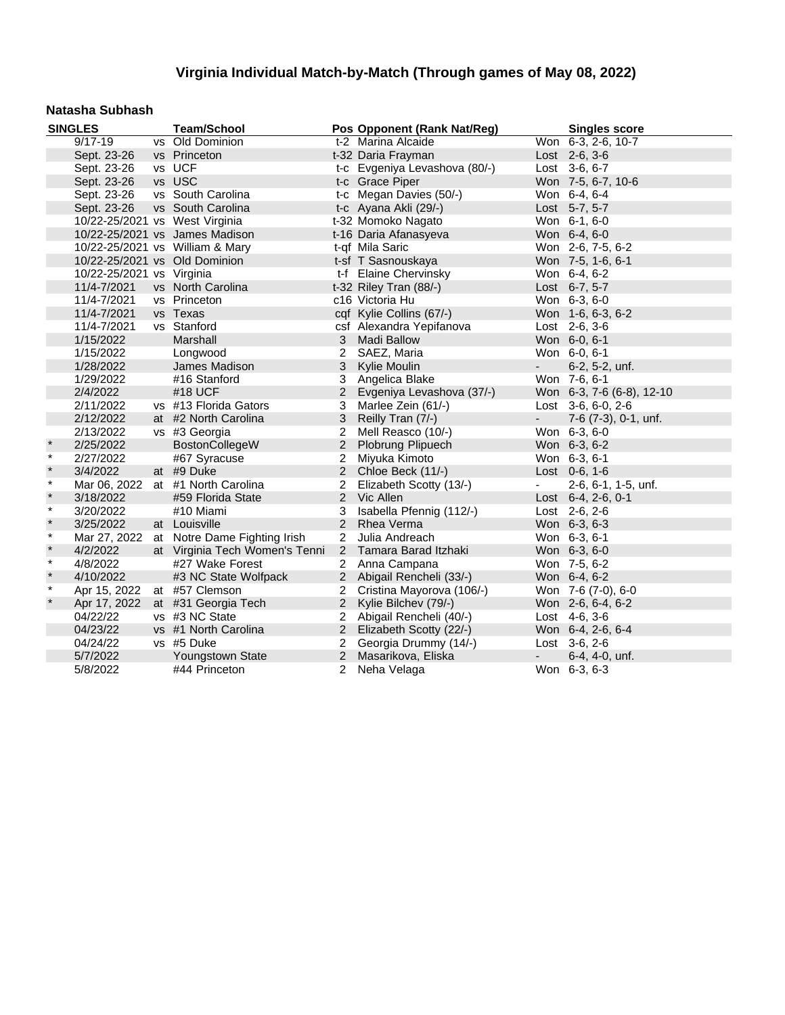#### **Natasha Subhash**

|         | <b>SINGLES</b>                 | <b>Team/School</b>                |                | Pos Opponent (Rank Nat/Reg)   |                          | <b>Singles score</b>      |
|---------|--------------------------------|-----------------------------------|----------------|-------------------------------|--------------------------|---------------------------|
|         | $9/17 - 19$                    | vs Old Dominion                   |                | t-2 Marina Alcaide            |                          | Won 6-3, 2-6, 10-7        |
|         | Sept. 23-26                    | vs Princeton                      |                | t-32 Daria Frayman            |                          | Lost 2-6, 3-6             |
|         | Sept. 23-26                    | vs UCF                            |                | t-c Evgeniya Levashova (80/-) |                          | Lost 3-6, 6-7             |
|         | Sept. 23-26                    | vs USC                            |                | t-c Grace Piper               |                          | Won 7-5, 6-7, 10-6        |
|         | Sept. 23-26                    | vs South Carolina                 |                | t-c Megan Davies (50/-)       |                          | Won 6-4, 6-4              |
|         | Sept. 23-26                    | vs South Carolina                 |                | t-c Ayana Akli (29/-)         |                          | Lost 5-7, 5-7             |
|         | 10/22-25/2021 vs West Virginia |                                   |                | t-32 Momoko Nagato            |                          | Won 6-1, 6-0              |
|         |                                | 10/22-25/2021 vs James Madison    |                | t-16 Daria Afanasyeva         |                          | Won 6-4, 6-0              |
|         |                                | 10/22-25/2021 vs William & Mary   |                | t-qf Mila Saric               |                          | Won 2-6, 7-5, 6-2         |
|         | 10/22-25/2021 vs Old Dominion  |                                   |                | t-sf T Sasnouskaya            |                          | Won 7-5, 1-6, 6-1         |
|         | 10/22-25/2021 vs Virginia      |                                   |                | t-f Elaine Chervinsky         |                          | Won 6-4, 6-2              |
|         | 11/4-7/2021                    | vs North Carolina                 |                | t-32 Riley Tran (88/-)        |                          | Lost 6-7, 5-7             |
|         | 11/4-7/2021                    | vs Princeton                      |                | c16 Victoria Hu               |                          | Won 6-3, 6-0              |
|         | 11/4-7/2021                    | vs Texas                          |                | cqf Kylie Collins (67/-)      |                          | Won 1-6, 6-3, 6-2         |
|         | 11/4-7/2021                    | vs Stanford                       |                | csf Alexandra Yepifanova      |                          | Lost 2-6, 3-6             |
|         | 1/15/2022                      | Marshall                          | 3 <sup>7</sup> | <b>Madi Ballow</b>            |                          | Won 6-0, 6-1              |
|         | 1/15/2022                      | Longwood                          | 2              | SAEZ, Maria                   |                          | Won 6-0, 6-1              |
|         | 1/28/2022                      | James Madison                     | 3              | Kylie Moulin                  | $\sim$                   | 6-2, 5-2, unf.            |
|         | 1/29/2022                      | #16 Stanford                      | 3              | Angelica Blake                |                          | Won 7-6, 6-1              |
|         | 2/4/2022                       | #18 UCF                           | $2^{\circ}$    | Evgeniya Levashova (37/-)     |                          | Won 6-3, 7-6 (6-8), 12-10 |
|         | 2/11/2022                      | vs #13 Florida Gators             | 3              | Marlee Zein (61/-)            |                          | Lost 3-6, 6-0, 2-6        |
|         | 2/12/2022                      | at #2 North Carolina              | 3              | Reilly Tran (7/-)             | $\sim$                   | 7-6 (7-3), 0-1, unf.      |
|         | 2/13/2022                      | vs #3 Georgia                     |                | 2 Mell Reasco (10/-)          |                          | Won 6-3, 6-0              |
| $\star$ | 2/25/2022                      | BostonCollegeW                    |                | 2 Plobrung Plipuech           |                          | Won 6-3, 6-2              |
| $\star$ | 2/27/2022                      | #67 Syracuse                      | $\overline{2}$ | Miyuka Kimoto                 |                          | Won 6-3, 6-1              |
| $\star$ | 3/4/2022                       | at #9 Duke                        | $\overline{2}$ | Chloe Beck (11/-)             |                          | Lost $0-6, 1-6$           |
| $\star$ |                                | Mar 06, 2022 at #1 North Carolina | $\overline{2}$ | Elizabeth Scotty (13/-)       | $\blacksquare$           | 2-6, 6-1, 1-5, unf.       |
| $\star$ | 3/18/2022                      | #59 Florida State                 |                | 2 Vic Allen                   |                          | Lost 6-4, 2-6, 0-1        |
| $\star$ | 3/20/2022                      | #10 Miami                         | 3              | Isabella Pfennig (112/-)      |                          | Lost 2-6, 2-6             |
| $\star$ | 3/25/2022                      | at Louisville                     | $\overline{2}$ | Rhea Verma                    |                          | Won 6-3, 6-3              |
| $\star$ | Mar 27, 2022                   | at Notre Dame Fighting Irish      | $\overline{2}$ | Julia Andreach                |                          | Won 6-3, 6-1              |
| $\star$ | 4/2/2022                       | at Virginia Tech Women's Tenni    |                | 2 Tamara Barad Itzhaki        |                          | Won 6-3, 6-0              |
| $\star$ | 4/8/2022                       | #27 Wake Forest                   |                | 2 Anna Campana                |                          | Won 7-5, 6-2              |
| $\star$ | 4/10/2022                      | #3 NC State Wolfpack              |                | 2 Abigail Rencheli (33/-)     |                          | Won 6-4, 6-2              |
| $\star$ | Apr 15, 2022                   | at #57 Clemson                    | $\overline{2}$ | Cristina Mayorova (106/-)     |                          | Won 7-6 (7-0), 6-0        |
| $\star$ | Apr 17, 2022                   | at #31 Georgia Tech               | $2^{\circ}$    | Kylie Bilchev (79/-)          |                          | Won 2-6, 6-4, 6-2         |
|         | 04/22/22                       | vs #3 NC State                    | $\overline{2}$ | Abigail Rencheli (40/-)       |                          | Lost 4-6, 3-6             |
|         | 04/23/22                       | vs #1 North Carolina              |                | 2 Elizabeth Scotty (22/-)     |                          | Won 6-4, 2-6, 6-4         |
|         | 04/24/22                       | vs #5 Duke                        | $\overline{2}$ | Georgia Drummy (14/-)         |                          | Lost 3-6, 2-6             |
|         | 5/7/2022                       | Youngstown State                  | $\overline{2}$ | Masarikova, Eliska            | $\overline{\phantom{a}}$ | 6-4, 4-0, unf.            |
|         | 5/8/2022                       | #44 Princeton                     |                | 2 Neha Velaga                 |                          | Won 6-3, 6-3              |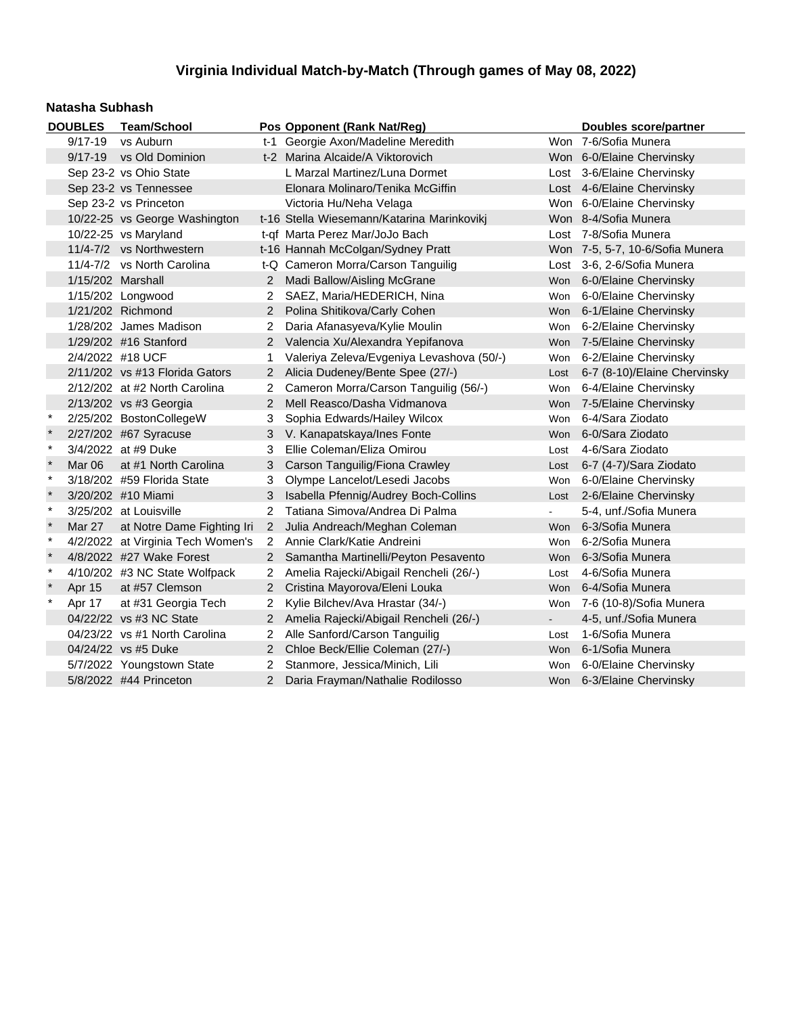#### **Natasha Subhash**

|              | <b>DOUBLES</b>    | <b>Team/School</b>                |                      | Pos Opponent (Rank Nat/Reg)                |            | <b>Doubles score/partner</b>    |
|--------------|-------------------|-----------------------------------|----------------------|--------------------------------------------|------------|---------------------------------|
|              | $9/17 - 19$       | vs Auburn                         |                      | t-1 Georgie Axon/Madeline Meredith         |            | Won 7-6/Sofia Munera            |
|              |                   | 9/17-19 vs Old Dominion           |                      | t-2 Marina Alcaide/A Viktorovich           |            | Won 6-0/Elaine Chervinsky       |
|              |                   | Sep 23-2 vs Ohio State            |                      | L Marzal Martinez/Luna Dormet              |            | Lost 3-6/Elaine Chervinsky      |
|              |                   | Sep 23-2 vs Tennessee             |                      | Elonara Molinaro/Tenika McGiffin           |            | Lost 4-6/Elaine Chervinsky      |
|              |                   | Sep 23-2 vs Princeton             |                      | Victoria Hu/Neha Velaga                    |            | Won 6-0/Elaine Chervinsky       |
|              |                   | 10/22-25 vs George Washington     |                      | t-16 Stella Wiesemann/Katarina Marinkovikj |            | Won 8-4/Sofia Munera            |
|              |                   | 10/22-25 vs Maryland              |                      | t-qf Marta Perez Mar/JoJo Bach             |            | Lost 7-8/Sofia Munera           |
|              |                   | 11/4-7/2 vs Northwestern          |                      | t-16 Hannah McColgan/Sydney Pratt          |            | Won 7-5, 5-7, 10-6/Sofia Munera |
|              |                   | 11/4-7/2 vs North Carolina        |                      | t-Q Cameron Morra/Carson Tanguilig         |            | Lost 3-6, 2-6/Sofia Munera      |
|              | 1/15/202 Marshall |                                   |                      | 2 Madi Ballow/Aisling McGrane              | <b>Won</b> | 6-0/Elaine Chervinsky           |
|              |                   | 1/15/202 Longwood                 | 2                    | SAEZ, Maria/HEDERICH, Nina                 | Won        | 6-0/Elaine Chervinsky           |
|              |                   | 1/21/202 Richmond                 | $\overline{2}$       | Polina Shitikova/Carly Cohen               | <b>Won</b> | 6-1/Elaine Chervinsky           |
|              |                   | 1/28/202 James Madison            | 2                    | Daria Afanasyeva/Kylie Moulin              | Won        | 6-2/Elaine Chervinsky           |
|              |                   | 1/29/202 #16 Stanford             | $\mathbf{2}$         | Valencia Xu/Alexandra Yepifanova           | <b>Won</b> | 7-5/Elaine Chervinsky           |
|              | 2/4/2022 #18 UCF  |                                   |                      | Valeriya Zeleva/Evgeniya Levashova (50/-)  | Won        | 6-2/Elaine Chervinsky           |
|              |                   | 2/11/202 vs #13 Florida Gators    | 2                    | Alicia Dudeney/Bente Spee (27/-)           | Lost       | 6-7 (8-10)/Elaine Chervinsky    |
|              |                   | 2/12/202 at #2 North Carolina     |                      | Cameron Morra/Carson Tanguilig (56/-)      | Won        | 6-4/Elaine Chervinsky           |
|              |                   | 2/13/202 vs #3 Georgia            | $\overline{2}$       | Mell Reasco/Dasha Vidmanova                | <b>Won</b> | 7-5/Elaine Chervinsky           |
| $\ast$       |                   | 2/25/202 BostonCollegeW           | 3                    | Sophia Edwards/Hailey Wilcox               | <b>Won</b> | 6-4/Sara Ziodato                |
|              |                   | 2/27/202 #67 Syracuse             | 3                    | V. Kanapatskaya/Ines Fonte                 | <b>Won</b> | 6-0/Sara Ziodato                |
| $\pmb{\ast}$ |                   | 3/4/2022 at #9 Duke               | 3                    | Ellie Coleman/Eliza Omirou                 | Lost       | 4-6/Sara Ziodato                |
| $\star$      | Mar 06            | at #1 North Carolina              | 3                    | Carson Tanguilig/Fiona Crawley             | Lost       | 6-7 (4-7)/Sara Ziodato          |
| $\star$      |                   | 3/18/202 #59 Florida State        | 3                    | Olympe Lancelot/Lesedi Jacobs              | Won        | 6-0/Elaine Chervinsky           |
| $\star$      |                   | 3/20/202 #10 Miami                | 3                    | Isabella Pfennig/Audrey Boch-Collins       | Lost       | 2-6/Elaine Chervinsky           |
| $\star$      |                   | 3/25/202 at Louisville            | 2                    | Tatiana Simova/Andrea Di Palma             |            | 5-4, unf./Sofia Munera          |
| $\star$      | Mar 27            | at Notre Dame Fighting Iri        | $2^{\circ}$          | Julia Andreach/Meghan Coleman              | <b>Won</b> | 6-3/Sofia Munera                |
| $\star$      |                   | 4/2/2022 at Virginia Tech Women's | $\mathbf{2}^{\circ}$ | Annie Clark/Katie Andreini                 | <b>Won</b> | 6-2/Sofia Munera                |
| $\star$      |                   | 4/8/2022 #27 Wake Forest          | $\overline{2}$       | Samantha Martinelli/Peyton Pesavento       | <b>Won</b> | 6-3/Sofia Munera                |
| $\ast$       |                   | 4/10/202 #3 NC State Wolfpack     | 2                    | Amelia Rajecki/Abigail Rencheli (26/-)     | Lost       | 4-6/Sofia Munera                |
| $\star$      | Apr 15            | at #57 Clemson                    | $\mathbf{2}$         | Cristina Mayorova/Eleni Louka              | <b>Won</b> | 6-4/Sofia Munera                |
| $\ast$       | Apr 17            | at #31 Georgia Tech               | 2                    | Kylie Bilchev/Ava Hrastar (34/-)           | <b>Won</b> | 7-6 (10-8)/Sofia Munera         |
|              |                   | 04/22/22 vs #3 NC State           | $\mathbf{2}$         | Amelia Rajecki/Abigail Rencheli (26/-)     | $\sim$     | 4-5, unf./Sofia Munera          |
|              |                   | 04/23/22 vs #1 North Carolina     | 2                    | Alle Sanford/Carson Tanguilig              | Lost       | 1-6/Sofia Munera                |
|              |                   | 04/24/22 vs #5 Duke               | $\mathbf{2}$         | Chloe Beck/Ellie Coleman (27/-)            | Won        | 6-1/Sofia Munera                |
|              |                   | 5/7/2022 Youngstown State         | 2                    | Stanmore, Jessica/Minich, Lili             | Won        | 6-0/Elaine Chervinsky           |
|              |                   | 5/8/2022 #44 Princeton            | $\overline{2}$       | Daria Frayman/Nathalie Rodilosso           | Won        | 6-3/Elaine Chervinsky           |